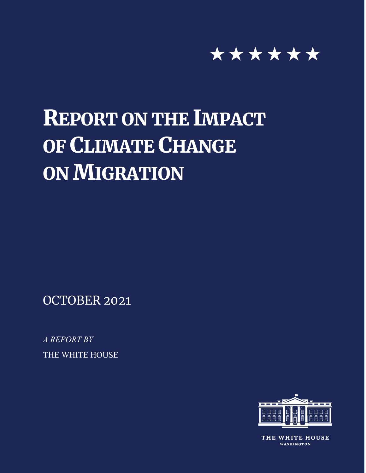

# REPORT ON THE IMPACT OF CLIMATE CHANGE **ON MIGRATION**

OCTOBER 2021

*A REPORT BY* THE WHITE HOUSE



THE WHITE HOUSE **WASHINGTON**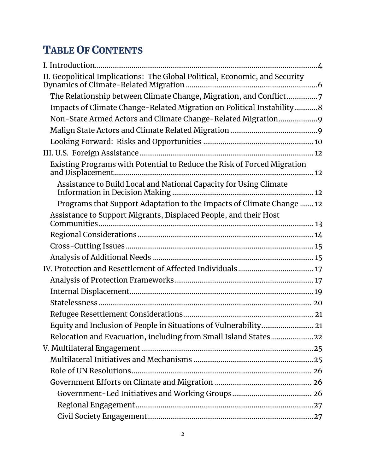# TABLE OF CONTENTS

| II. Geopolitical Implications: The Global Political, Economic, and Security |  |
|-----------------------------------------------------------------------------|--|
| The Relationship between Climate Change, Migration, and Conflict7           |  |
| Impacts of Climate Change-Related Migration on Political Instability8       |  |
| Non-State Armed Actors and Climate Change-Related Migration9                |  |
|                                                                             |  |
|                                                                             |  |
|                                                                             |  |
| Existing Programs with Potential to Reduce the Risk of Forced Migration     |  |
| Assistance to Build Local and National Capacity for Using Climate           |  |
| Programs that Support Adaptation to the Impacts of Climate Change  12       |  |
| Assistance to Support Migrants, Displaced People, and their Host            |  |
|                                                                             |  |
|                                                                             |  |
|                                                                             |  |
|                                                                             |  |
|                                                                             |  |
|                                                                             |  |
|                                                                             |  |
|                                                                             |  |
| Equity and Inclusion of People in Situations of Vulnerability 21            |  |
| Relocation and Evacuation, including from Small Island States22             |  |
|                                                                             |  |
|                                                                             |  |
|                                                                             |  |
|                                                                             |  |
|                                                                             |  |
|                                                                             |  |
|                                                                             |  |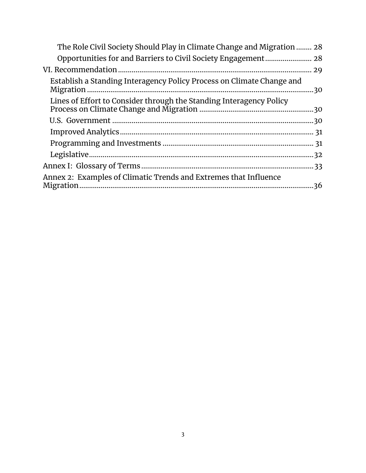<span id="page-2-0"></span>

| The Role Civil Society Should Play in Climate Change and Migration  28 |  |
|------------------------------------------------------------------------|--|
|                                                                        |  |
|                                                                        |  |
| Establish a Standing Interagency Policy Process on Climate Change and  |  |
| Lines of Effort to Consider through the Standing Interagency Policy    |  |
|                                                                        |  |
|                                                                        |  |
|                                                                        |  |
|                                                                        |  |
|                                                                        |  |
| Annex 2: Examples of Climatic Trends and Extremes that Influence       |  |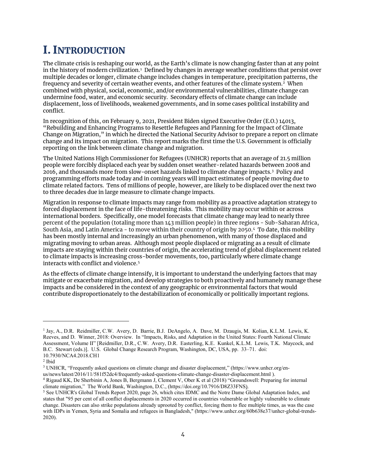# I. INTRODUCTION

The climate crisis is reshaping our world, as the Earth's climate is now changing faster than at any point in the history of modern civilization.[1](#page-3-0) Defined by changes in average weather conditions that persist over multiple decades or longer, climate change includes changes in temperature, precipitation patterns, the frequency and severity of certain weather events, and other features of the climate system[.2](#page-3-1) When combined with physical, social, economic, and/or environmental vulnerabilities, climate change can undermine food, water, and economic security. Secondary effects of climate change can include displacement, loss of livelihoods, weakened governments, and in some cases political instability and conflict.

In recognition of this, on February 9, 2021, President Biden signed Executive Order (E.O.) 14013, "Rebuilding and Enhancing Programs to Resettle Refugees and Planning for the Impact of Climate Change on Migration," in which he directed the National Security Advisor to prepare a report on climate change and its impact on migration. This report marks the first time the U.S. Government is officially reporting on the link between climate change and migration.

The United Nations High Commissioner for Refugees (UNHCR) reports that an average of 21.5 million people were forcibly displaced each year by sudden onset weather-related hazards between 2008 and 2016, and thousands more from slow-onset hazards linked to climate change impacts.[3](#page-3-2) Policy and programming efforts made today and in coming years will impact estimates of people moving due to climate related factors. Tens of millions of people, however, are likely to be displaced over the next two to three decades due in large measure to climate change impacts.

Migration in response to climate impacts may range from mobility as a proactive adaptation strategy to forced displacement in the face of life-threatening risks. This mobility may occur within or across international borders. Specifically, one model forecasts that climate change may lead to nearly three percent of the population (totaling more than 143 million people) in three regions - Sub-Saharan Africa, South Asia, and Latin America - to move within their country of origin by 2050.[4](#page-3-3) To date, this mobility has been mostly internal and increasingly an urban phenomenon, with many of those displaced and migrating moving to urban areas. Although most people displaced or migrating as a result of climate impacts are staying within their countries of origin, the accelerating trend of global displacement related to climate impacts is increasing cross-border movements, too, particularly where climate change interacts with conflict and violence.[5](#page-3-4)

As the effects of climate change intensify, it is important to understand the underlying factors that may mitigate or exacerbate migration, and develop strategies to both proactively and humanely manage these impacts and be considered in the context of any geographic or environmental factors that would contribute disproportionately to the destabilization of economically or politically important regions.

 $\overline{a}$ 

<span id="page-3-2"></span><sup>3</sup> UNHCR, "Frequently asked questions on climate change and disaster displacement," (https://www.unhcr.org/enus/news/latest/2016/11/581f52dc4/frequently-asked-questions-climate-change-disaster-displacement.html ).

<span id="page-3-0"></span><sup>1</sup> Jay, A., D.R. Reidmiller, C.W. Avery, D. Barrie, B.J. DeAngelo, A. Dave, M. Dzaugis, M. Kolian, K.L.M. Lewis, K. Reeves, and D. Winner, 2018: Overview. In "Impacts, Risks, and Adaptation in the United States: Fourth National Climate Assessment, Volume II" [Reidmiller, D.R., C.W. Avery, D.R. Easterling, K.E. Kunkel, K.L.M. Lewis, T.K. Maycock, and B.C. Stewart (eds.)]. U.S. Global Change Research Program, Washington, DC, USA, pp. 33–71. doi: 10.7930/NCA4.2018.CH1

<span id="page-3-1"></span> $^2$  Ibid

<span id="page-3-3"></span><sup>4</sup> Rigaud KK, De Sherbinin A, Jones B, Bergmann J, Clement V, Ober K et al (2018) "Groundswell: Preparing for internal climate migration," The World Bank, Washington, D.C., (https://doi.org/10.7916/D8Z33FNS).

<span id="page-3-4"></span><sup>5</sup> See UNHCR's Global Trends Report 2020, page 26, which cites IDMC and the Notre Dame Global Adaptation Index, and states that "95 per cent of all conflict displacements in 2020 occurred in countries vulnerable or highly vulnerable to climate change. Disasters can also strike populations already uprooted by conflict, forcing them to flee multiple times, as was the case with IDPs in Yemen, Syria and Somalia and refugees in Bangladesh," (https://www.unhcr.org/60b638e37/unhcr-global-trends-2020).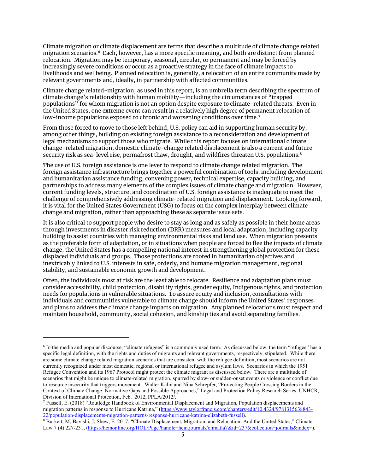Climate migration or climate displacement are terms that describe a multitude of climate change related migration scenarios.[6](#page-4-0) Each, however, has a more specific meaning, and both are distinct from planned relocation. Migration may be temporary, seasonal, circular, or permanent and may be forced by increasingly severe conditions or occur as a proactive strategy in the face of climate impacts to livelihoods and wellbeing. Planned relocation is, generally, a relocation of an entire community made by relevant governments and, ideally, in partnership with affected communities.

Climate change related-migration, as used in this report, is an umbrella term describing the spectrum of climate change's relationship with human mobility—including the circumstances of "trapped populations" for whom migration is not an option despite exposure to climate-related threats. Even in the United States, one extreme event can result in a relatively high degree of permanent relocation of low-income populations exposed to chronic and worsening conditions over time. [7](#page-4-1)

From those forced to move to those left behind, U.S. policy can aid in supporting human security by, among other things, building on existing foreign assistance to a reconsideration and development of legal mechanisms to support those who migrate. While this report focuses on international climate change-related migration, domestic climate-change related displacement is also a current and future security risk as sea-level rise, permafrost thaw, drought, and wildfires threaten U.S. populations.<sup>[8](#page-4-2)</sup>

The use of U.S. foreign assistance is one lever to respond to climate change related migration. The foreign assistance infrastructure brings together a powerful combination of tools, including development and humanitarian assistance funding, convening power, technical expertise, capacity building, and partnerships to address many elements of the complex issues of climate change and migration. However, current funding levels, structure, and coordination of U.S. foreign assistance is inadequate to meet the challenge of comprehensively addressing climate-related migration and displacement. Looking forward, it is vital for the United States Government (USG) to focus on the complex interplay between climate change and migration, rather than approaching these as separate issue sets.

It is also critical to support people who desire to stay as long and as safely as possible in their home areas through investments in disaster risk reduction (DRR) measures and local adaptation, including capacity building to assist countries with managing environmental risks and land use. When migration presents as the preferable form of adaptation, or in situations when people are forced to flee the impacts of climate change, the United States has a compelling national interest in strengthening global protection for these displaced individuals and groups. Those protections are rooted in humanitarian objectives and inextricably linked to U.S. interests in safe, orderly, and humane migration management, regional stability, and sustainable economic growth and development.

Often, the individuals most at risk are the least able to relocate. Resilience and adaptation plans must consider accessibility, child protection, disability rights, gender equity, Indigenous rights, and protection needs for populations in vulnerable situations. To assure equity and inclusion, consultations with individuals and communities vulnerable to climate change should inform the United States' responses and plans to address the climate change impacts on migration. Any planned relocations must respect and maintain household, community, social cohesion, and kinship ties and avoid separating families.

<span id="page-4-0"></span><sup>6</sup> In the media and popular discourse, "climate refugees" is a commonly used term. As discussed below, the term "refugee" has a specific legal definition, with the rights and duties of migrants and relevant governments, respectively, stipulated. While there are some climate change related migration scenarios that are consistent with the refugee definition, most scenarios are not currently recognized under most domestic, regional or international refugee and asylum laws. Scenarios in which the 1951 Refugee Convention and its 1967 Protocol might protect the climate migrant as discussed below. There are a multitude of scenarios that might be unique to climate-related migration, spurred by slow- or sudden-onset events or violence or conflict due to resource insecurity that triggers movement. Walter Kälin and Nina Schrepfer, "Protecting People Crossing Borders in the Context of Climate Change: Normative Gaps and Possible Approaches," Legal and Protection Policy Research Series, UNHCR, Division of International Protection, Feb. 2012, PPLA/2012/.

<span id="page-4-1"></span><sup>7</sup> Fussell, E. (2018) "Routledge Handbook of Environmental Displacement and Migration, Population displacements and migration patterns in response to Hurricane Katrina," [\(https://www.taylorfrancis.com/chapters/edit/10.4324/9781315638843-](https://www.taylorfrancis.com/chapters/edit/10.4324/9781315638843-22/population-displacements-migration-patterns-response-hurricane-katrina-elizabeth-fussell)<br>22/population-displacements-migration-patterns-response-hurricane-katrina-elizabeth-fussell).

<span id="page-4-2"></span><sup>&</sup>lt;sup>8</sup> Burkett, M; Bavishi, J; Shew, E. 2017. "Climate Displacement, Migration, and Relocation: And the United States," Climate Law 7 (4) 227-231, [\(https://heinonline.org/HOL/Page?handle=hein.journals/climatla7&id=237&collection=journals&index=](https://heinonline.org/HOL/Page?handle=hein.journals/climatla7&id=237&collection=journals&index)).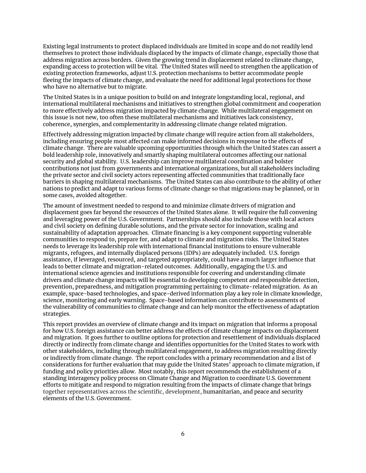Existing legal instruments to protect displaced individuals are limited in scope and do not readily lend themselves to protect those individuals displaced by the impacts of climate change, especially those that address migration across borders. Given the growing trend in displacement related to climate change, expanding access to protection will be vital. The United States will need to strengthen the application of existing protection frameworks, adjust U.S. protection mechanisms to better accommodate people fleeing the impacts of climate change, and evaluate the need for additional legal protections for those who have no alternative but to migrate.

The United States is in a unique position to build on and integrate longstanding local, regional, and international multilateral mechanisms and initiatives to strengthen global commitment and cooperation to more effectively address migration impacted by climate change. While multilateral engagement on this issue is not new, too often these multilateral mechanisms and initiatives lack consistency, coherence, synergies, and complementarity in addressing climate change related migration.

Effectively addressing migration impacted by climate change will require action from all stakeholders, including ensuring people most affected can make informed decisions in response to the effects of climate change. There are valuable upcoming opportunities through which the United States can assert a bold leadership role, innovatively and smartly shaping multilateral outcomes affecting our national security and global stability. U.S. leadership can improve multilateral coordination and bolster contributions not just from governments and international organizations, but all stakeholders including the private sector and civil society actors representing affected communities that traditionally face barriers in shaping multilateral mechanisms. The United States can also contribute to the ability of other nations to predict and adapt to various forms of climate change so that migrations may be planned, or in some cases, avoided altogether.

The amount of investment needed to respond to and minimize climate drivers of migration and displacement goes far beyond the resources of the United States alone. It will require the full convening and leveraging power of the U.S. Government. Partnerships should also include those with local actors and civil society on defining durable solutions, and the private sector for innovation, scaling and sustainability of adaptation approaches. Climate financing is a key component supporting vulnerable communities to respond to, prepare for, and adapt to climate and migration risks. The United States needs to leverage its leadership role with international financial institutions to ensure vulnerable migrants, refugees, and internally displaced persons (IDPs) are adequately included. U.S. foreign assistance, if leveraged, resourced, and targeted appropriately, could have a much larger influence that leads to better climate and migration-related outcomes. Additionally, engaging the U.S. and international science agencies and institutions responsible for covering and understanding climate drivers and climate change impacts will be essential to developing competent and responsible detection, prevention, preparedness, and mitigation programming pertaining to climate-related migration. As an example, space-based technologies, and space-derived information play a key role in climate knowledge, science, monitoring and early warning. Space-based information can contribute to assessments of the vulnerability of communities to climate change and can help monitor the effectiveness of adaptation strategies.

<span id="page-5-0"></span>This report provides an overview of climate change and its impact on migration that informs a proposal for how U.S. foreign assistance can better address the effects of climate change impacts on displacement and migration. It goes further to outline options for protection and resettlement of individuals displaced directly or indirectly from climate change and identifies opportunities for the United States to work with other stakeholders, including through multilateral engagement, to address migration resulting directly or indirectly from climate change. The report concludes with a primary recommendation and a list of considerations for further evaluation that may guide the United States' approach to climate migration, if funding and policy priorities allow. Most notably, this report recommends the establishment of a standing interagency policy process on Climate Change and Migration to coordinate U.S. Government efforts to mitigate and respond to migration resulting from the impacts of climate change that brings together representatives across the scientific, development, humanitarian, and peace and security elements of the U.S. Government.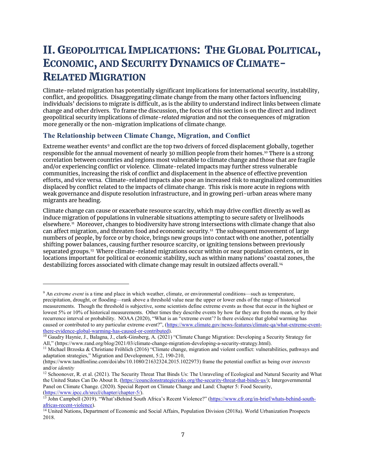# II. GEOPOLITICAL IMPLICATIONS: THE GLOBAL POLITICAL, ECONOMIC, AND SECURITY DYNAMICS OF CLIMATE-RELATED MIGRATION

Climate-related migration has potentially significant implications for international security, instability, conflict, and geopolitics. Disaggregating climate change from the many other factors influencing individuals' decisions to migrate is difficult, as is the ability to understand indirect links between climate change and other drivers. To frame the discussion, the focus of this section is on the direct and indirect geopolitical security implications of *climate-related migration* and not the consequences of migration more generally or the non-migration implications of climate change.

#### <span id="page-6-0"></span>**The Relationship between Climate Change, Migration, and Conflict**

 $\overline{a}$ 

Extreme weather events<sup>[9](#page-6-1)</sup> and conflict are the top two drivers of forced displacement globally, together responsible for the annual movement of nearly 30 million people from their homes.<sup>[10](#page-6-2)</sup> There is a strong correlation between countries and regions most vulnerable to climate change and those that are fragile and/or experiencing conflict or violence. Climate-related impacts may further stress vulnerable communities, increasing the risk of conflict and displacement in the absence of effective prevention efforts, and vice versa. Climate-related impacts also pose an increased risk to marginalized communities displaced by conflict related to the impacts of climate change. This risk is more acute in regions with weak governance and dispute resolution infrastructure, and in growing peri-urban areas where many migrants are heading.

Climate change can cause or exacerbate resource scarcity, which may drive conflict directly as well as induce migration of populations in vulnerable situations attempting to secure safety or livelihoods elsewhere.[11](#page-6-3) Moreover, changes to biodiversity have strong intersections with climate change that also can affect migration, and threaten food and economic security.[12](#page-6-4) The subsequent movement of large numbers of people, by force or by choice, brings new groups into contact with one another, potentially shifting power balances, causing further resource scarcity, or igniting tensions between previously separated groups. [13](#page-6-5) Where climate-related migrations occur within or near population centers, or in locations important for political or economic stability, such as within many nations' coastal zones, the destabilizing forces associated with climate change may result in outsized affects overall.<sup>[14](#page-6-6)</sup>

<span id="page-6-1"></span><sup>9</sup> An *extreme event* is a time and place in which weather, climate, or environmental conditions—such as temperature, precipitation, drought, or flooding—rank above a threshold value near the upper or lower ends of the range of historical measurements. Though the threshold is subjective, some scientists define extreme events as those that occur in the highest or lowest 5% or 10% of historical measurements. Other times they describe events by how far they are from the mean, or by their recurrence interval or probability. NOAA (2020), "What is an "extreme event'? Is there evidence that global warming has caused or contributed to any particular extreme event?", [\(https://www.climate.gov/news-features/climate-qa/what-extreme-event-](https://www.climate.gov/news-features/climate-qa/what-extreme-event-there-evidence-global-warming-has-caused-or-contributed)

<span id="page-6-2"></span>[there-evidence-global-warming-has-caused-or-contributed\)](https://www.climate.gov/news-features/climate-qa/what-extreme-event-there-evidence-global-warming-has-caused-or-contributed).<br><sup>10</sup> Gaudry Haynie, J., Balagna, J., clark-Ginsberg, A. (2021) "Climate Change Migration: Developing a Security Strategy for<br>All," (https://www.rand.org/blog/2021/0

<span id="page-6-3"></span><sup>&</sup>lt;sup>11</sup> Michael Brzoska & Christiane Fröhlich (2016) "Climate change, migration and violent conflict: vulnerabilities, pathways and adaptation strategies," Migration and Development, 5:2, 190-210,

[<sup>\(</sup>https://www.tandfonline.com/doi/abs/10.1080/21632324.2015.1022973\)](https://www.tandfonline.com/doi/abs/10.1080/21632324.2015.1022973) frame the potential conflict as being over *interests* and/or *identity*

<span id="page-6-4"></span><sup>&</sup>lt;sup>12</sup> Schoonover, R. et al. (2021). The Security Threat That Binds Us: The Unraveling of Ecological and Natural Security and What the United States Can Do About It. [\(https://councilonstrategicrisks.org/the-security-threat-that-binds-us/\)](https://councilonstrategicrisks.org/the-security-threat-that-binds-us/); Intergovernmental Panel on Climate Change. (2020). Special Report on Climate Change and Land: Chapter 5: Food Security, [\(https://www.ipcc.ch/srccl/chapter/chapter-5/\)](https://www.ipcc.ch/srccl/chapter/chapter-5/).

<span id="page-6-5"></span><sup>&</sup>lt;sup>13</sup> John Campbell (2019). "What'sBehind South Africa's Recent Violence?" [\(https://www.cfr.org/in-brief/whats-behind-south-](https://www.cfr.org/in-brief/whats-behind-south-africas-recent-violence)

<span id="page-6-6"></span>[africas-recent-violence\)](https://www.cfr.org/in-brief/whats-behind-south-africas-recent-violence).<br><sup>14</sup> United Nations, Department of Economic and Social Affairs, Population Division (2018a). World Urbanization Prospects 2018.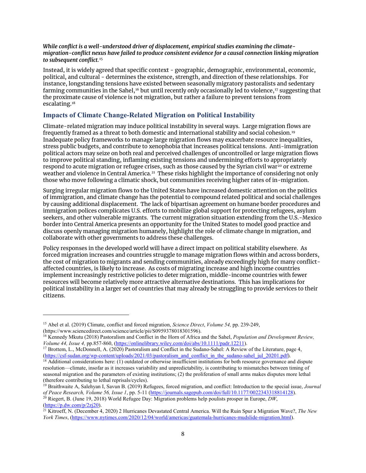#### *While conflict is a well-understood driver of displacement, empirical studies examining the climatemigration-conflict nexus have failed to produce consistent evidence for a causal connection linking migration to subsequent conflict.* [15](#page-7-1)

Instead, it is widely agreed that specific context - geographic, demographic, environmental, economic, political, and cultural - determines the existence, strength, and direction of these relationships. For instance, longstanding tensions have existed between seasonally migratory pastoralists and sedentary farming communities in the Sahel,<sup>[16](#page-7-2)</sup> but until recently only occasionally led to violence,<sup>[17](#page-7-3)</sup> suggesting that the proximate cause of violence is not migration, but rather a failure to prevent tensions from escalating.[18](#page-7-4)

#### <span id="page-7-0"></span>**Impacts of Climate Change-Related Migration on Political Instability**

Climate-related migration may induce political instability in several ways. Large migration flows are frequently framed as a threat to both domestic and international stability and social cohesion.[19](#page-7-5) Inadequate policy frameworks to manage large migration flows may exacerbate resource inequalities, stress public budgets, and contribute to xenophobia that increases political tensions. Anti-immigration political actors may seize on both real and perceived challenges of uncontrolled or large migration flows to improve political standing, inflaming existing tensions and undermining efforts to appropriately respond to acute migration or refugee crises, such as those caused by the Syrian civil war<sup>[20](#page-7-6)</sup> or extreme weather and violence in Central America. [21](#page-7-7) These risks highlight the importance of considering not only those who move following a climatic shock, but communities receiving higher rates of in-migration.

Surging irregular migration flows to the United States have increased domestic attention on the politics of immigration, and climate change has the potential to compound related political and social challenges by causing additional displacement. The lack of bipartisan agreement on humane border procedures and immigration polices complicates U.S. efforts to mobilize global support for protecting refugees, asylum seekers, and other vulnerable migrants. The current migration situation extending from the U.S.-Mexico border into Central America presents an opportunity for the United States to model good practice and discuss openly managing migration humanely, highlight the role of climate change in migration, and collaborate with other governments to address these challenges.

Policy responses in the developed world will have a direct impact on political stability elsewhere. As forced migration increases and countries struggle to manage migration flows within and across borders, the cost of migration to migrants and sending communities, already exceedingly high for many conflictaffected countries, is likely to increase. As costs of migrating increase and high income countries implement increasingly restrictive policies to deter migration, middle-income countries with fewer resources will become relatively more attractive alternative destinations. This has implications for political instability in a larger set of countries that may already be struggling to provide services to their citizens.

<sup>15</sup> Abel et al. (2019) Climate, conflict and forced migration, *Science Direct*, *Volume 54,* pp. 239-249,

<span id="page-7-2"></span><span id="page-7-1"></span>[<sup>\(</sup>https://www.sciencedirect.com/science/article/pii/S0959378018301596\)](https://www.sciencedirect.com/science/article/pii/S0959378018301596).<br><sup>16</sup> Kennedy Mkutu (2018) Pastoralism and Conflict in the Horn of Africa and the Sahel, *Population and Development Review,*<br>*Volume 44, Issue 4, pp.85* 

<span id="page-7-3"></span><sup>&</sup>lt;sup>17</sup> Brottem, L., McDonnell, A. (2020) Pastoralism and Conflict in the Sudano-Sahel: A Review of the Literature, page 4, (https://csf-sudan.org/wp-content/uploads/2021/03/pastoralism and conflict in the sudano-sahel jul 20

<span id="page-7-4"></span><sup>&</sup>lt;sup>18</sup> Additional considerations here: (1) outdated or otherwise insufficient institutions for both resource governance and dispute resolution—climate, insofar as it increases variability and unpredictability, is contributing to mismatches between timing of seasonal migration and the parameters of existing institutions; (2) the proliferation of small arms makes disputes more lethal (therefore contributing to lethal reprisals/cycles).

<span id="page-7-5"></span><sup>19</sup> Braithwaite A, Salehyan I, Savun B. (2019) Refugees, forced migration, and conflict: Introduction to the special issue, *Journal*  of Peace Research, Volume 56, Issue 1, pp. 5-11 [\(https://journals.sagepub.com/doi/full/10.1177/0022343318814128\)](https://journals.sagepub.com/doi/full/10.1177/0022343318814128).<br><sup>20</sup> Riegert, B. (June 19, 2018) World Refugee Day: Migration problems help poulists prosper in Europe, *DW* 

<span id="page-7-6"></span>[<sup>\(</sup>https://p.dw.com/p/2zj20\)](https://p.dw.com/p/2zj20).<br><sup>21</sup> Kitroeff, N. (December 4, 2020) 2 Hurricanes Devastated Central America. Will the Ruin Spur a Migration Wave?, *The New* 

<span id="page-7-7"></span>*York Times*, [\(https://www.nytimes.com/2020/12/04/world/americas/guatemala-hurricanes-mudslide-migration.html\)](https://www.nytimes.com/2020/12/04/world/americas/guatemala-hurricanes-mudslide-migration.html).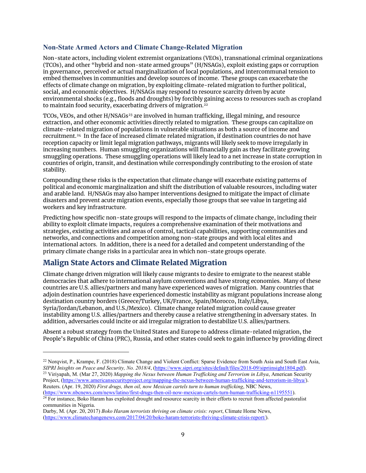#### <span id="page-8-0"></span>**Non-State Armed Actors and Climate Change-Related Migration**

Non-state actors, including violent extremist organizations (VEOs), transnational criminal organizations (TCOs), and other "hybrid and non-state armed groups" (H/NSAGs), exploit existing gaps or corruption in governance, perceived or actual marginalization of local populations, and intercommunal tension to embed themselves in communities and develop sources of income. These groups can exacerbate the effects of climate change on migration, by exploiting climate-related migration to further political, social, and economic objectives. H/NSAGs may respond to resource scarcity driven by acute environmental shocks (e.g., floods and droughts) by forcibly gaining access to resources such as cropland to maintain food security, exacerbating drivers of migration.<sup>[22](#page-8-2)</sup>

TCOs, VEOs, and other H/NSAGs<sup>[23](#page-8-3)</sup> are involved in human trafficking, illegal mining, and resource extraction, and other economic activities directly related to migration. These groups can capitalize on climate-related migration of populations in vulnerable situations as both a source of income and recruitment. [24](#page-8-4) In the face of increased climate related migration, if destination countries do not have reception capacity or limit legal migration pathways, migrants will likely seek to move irregularly in increasing numbers. Human smuggling organizations will financially gain as they facilitate growing smuggling operations. These smuggling operations will likely lead to a net increase in state corruption in countries of origin, transit, and destination while correspondingly contributing to the erosion of state stability.

Compounding these risks is the expectation that climate change will exacerbate existing patterns of political and economic marginalization and shift the distribution of valuable resources, including water and arable land. H/NSAGs may also hamper interventions designed to mitigate the impact of climate disasters and prevent acute migration events, especially those groups that see value in targeting aid workers and key infrastructure.

Predicting how specific non-state groups will respond to the impacts of climate change, including their ability to exploit climate impacts, requires a comprehensive examination of their motivations and strategies, existing activities and areas of control, tactical capabilities, supporting communities and networks, and connections and competition among non-state groups and with local elites and international actors. In addition, there is a need for a detailed and competent understanding of the primary climate change risks in a particular area in which non-state groups operate.

#### <span id="page-8-1"></span>Malign State Actors and Climate Related Migration

 $\overline{a}$ 

Climate change driven migration will likely cause migrants to desire to emigrate to the nearest stable democracies that adhere to international asylum conventions and have strong economies. Many of these countries are U.S. allies/partners and many have experienced waves of migration. Many countries that adjoin destination countries have experienced domestic instability as migrant populations increase along destination country borders (Greece/Turkey, UK/France, Spain/Morocco, Italy/Libya, Syria/Jordan/Lebanon, and U.S./Mexico). Climate change related migration could cause greater instability among U.S. allies/partners and thereby cause a relative strengthening in adversary states. In addition, adversaries could incite or aid irregular migration to destabilize U.S. allies/partners.

Absent a robust strategy from the United States and Europe to address climate-related migration, the People's Republic of China (PRC), Russia, and other states could seek to gain influence by providing direct

<span id="page-8-3"></span><span id="page-8-2"></span><sup>&</sup>lt;sup>22</sup> Norqvist, P., Krampe, F. (2018) Climate Change and Violent Conflict: Sparse Evidence from South Asia and South East Asia, *SIPRI Inisghts on Peace and Security, No. 2018/4*, (https://www.sipri.org/sites/default/files/ <sup>23</sup> Viriyapah, M. (Mar 27, 2020) Mapping the Nexus between Human Trafficking and Terrorism in Libya, American Security Project, [\(https://www.americansecurityproject.org/mapping-the-nexus-between-human-trafficking-and-terrorism-in-libya/\)](https://www.americansecurityproject.org/mapping-the-nexus-between-human-trafficking-and-terrorism-in-libya/). Reuters. (Apr. 19, 2020) *First drugs, then oil, now Mexican cartels turn to human trafficking*, NBC News,

<span id="page-8-4"></span>[<sup>\(</sup>https://www.nbcnews.com/news/latino/first-drugs-then-oil-now-mexican-cartels-turn-human-trafficking-n1195551\)](https://www.nbcnews.com/news/latino/first-drugs-then-oil-now-mexican-cartels-turn-human-trafficking-n1195551).<br><sup>24</sup> For instance, Boko Haram has exploited drought and resource scarcity in their efforts to recruit from aff communities in Nigeria.

Darby, M. (Apr. 20, 2017) *Boko Haram terrorists thriving on climate crisis: report*, Climate Home News, [\(https://www.climatechangenews.com/2017/04/20/boko-haram-terrorists-thriving-climate-crisis-report/\)](https://www.climatechangenews.com/2017/04/20/boko-haram-terrorists-thriving-climate-crisis-report/).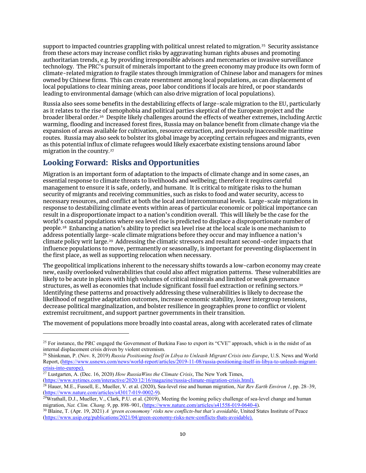support to impacted countries grappling with political unrest related to migration. [25](#page-9-1) Security assistance from these actors may increase conflict risks by aggravating human rights abuses and promoting authoritarian trends, e.g. by providing irresponsible advisors and mercenaries or invasive surveillance technology. The PRC's pursuit of minerals important to the green economy may produce its own form of climate-related migration *to* fragile states through immigration of Chinese labor and managers for mines owned by Chinese firms. This can create resentment among local populations, as can displacement of local populations to clear mining areas, poor labor conditions if locals are hired, or poor standards leading to environmental damage (which can also drive migration of local populations).

Russia also sees some benefits in the destabilizing effects of large-scale migration to the EU, particularly as it relates to the rise of xenophobia and political parties skeptical of the European project and the broader liberal order.<sup>[26](#page-9-2)</sup> Despite likely challenges around the effects of weather extremes, including Arctic warming, flooding and increased forest fires, Russia may on balance benefit from climate change via the expansion of areas available for cultivation, resource extraction, and previously inaccessible maritime routes. Russia may also seek to bolster its global image by accepting certain refugees and migrants, even as this potential influx of climate refugees would likely exacerbate existing tensions around labor migration in the country. [27](#page-9-3) 

### <span id="page-9-0"></span>Looking Forward: Risks and Opportunities

Migration is an important form of adaptation to the impacts of climate change and in some cases, an essential response to climate threats to livelihoods and wellbeing; therefore it requires careful management to ensure it is safe, orderly, and humane. It is critical to mitigate risks to the human security of migrants and receiving communities, such as risks to food and water security, access to necessary resources, and conflict at both the local and intercommunal levels. Large-scale migrations in response to destabilizing climate events within areas of particular economic or political importance can result in a disproportionate impact to a nation's condition overall. This will likely be the case for the world's coastal populations where sea level rise is predicted to displace a disproportionate number of people.[28](#page-9-4) Enhancing a nation's ability to predict sea level rise at the local scale is one mechanism to address potentially large-scale climate migrations before they occur and may influence a nation's climate policy writ large.[29](#page-9-5) Addressing the climatic stressors and resultant second-order impacts that influence populations to move, permanently or seasonally, is important for preventing displacement in the first place, as well as supporting relocation when necessary.

The geopolitical implications inherent to the necessary shifts towards a low-carbon economy may create new, easily overlooked vulnerabilities that could also affect migration patterns. These vulnerabilities are likely to be acute in places with high volumes of critical minerals and limited or weak governance structures, as well as economies that include significant fossil fuel extraction or refining sectors. [30](#page-9-6) Identifying these patterns and proactively addressing these vulnerabilities is likely to decrease the likelihood of negative adaptation outcomes, increase economic stability, lower intergroup tensions, decrease political marginalization, and bolster resilience in geographies prone to conflict or violent extremist recruitment, and support partner governments in their transition.

The movement of populations more broadly into coastal areas, along with accelerated rates of climate

<span id="page-9-3"></span><sup>27</sup> Lustgarten, A. (Dec. 16, 2020) *How RussiaWins the Climate Crisis*, The New York Times, [\(https://www.nytimes.com/interactive/2020/12/16/magazine/russia-climate-migration-crisis.html\)](https://gcc02.safelinks.protection.outlook.com/?url=https%3A%2F%2Fwww.nytimes.com%2Finteractive%2F2020%2F12%2F16%2Fmagazine%2Frussia-climate-migration-crisis.html&data=04%7C01%7CShepardsonNW%40state.gov%7C3ac38d67518540b4e03308d91190676d%7C66cf50745afe48d1a691a12b2121f44b%7C0%7C0%7C637560134168456446%7CUnknown%7CTWFpbGZsb3d8eyJWIjoiMC4wLjAwMDAiLCJQIjoiV2luMzIiLCJBTiI6Ik1haWwiLCJXVCI6Mn0%3D%7C1000&sdata=NGyjEykwqR2Jz2IOabCu6vWdOwQd3qDP1y9W%2B5ZWIwE%3D&reserved=0).

 $\overline{a}$ 

<span id="page-9-4"></span><sup>28</sup> Hauer, M.E., Fussell, E., Mueller, V. et al. (2020), Sea-level rise and human migration, *Nat Rev Earth Environ 1*, pp. 28–39, [\(https://www.nature.com/articles/s43017-019-0002-9\)](https://www.nature.com/articles/s43017-019-0002-9).<br><sup>29</sup>Wrathall, D.J., Mueller, V., Clark, P.U. et al. (2019), Meeting the looming policy challenge of sea-level change and human

<span id="page-9-1"></span><sup>&</sup>lt;sup>25</sup> For instance, the PRC engaged the Government of Burkina Faso to export its "CVE" approach, which is in the midst of an internal displacement crisis driven by violent extremism.

<span id="page-9-2"></span><sup>26</sup> Shinkman, P. (Nov. 8, 2019) *Russia Positioning Itself in Libya to Unleash Migrant Crisis into Europe*, U.S. News and World Report, [\(https://www.usnews.com/news/world-report/articles/2019-11-08/russia-positioning-itself-in-libya-to-unleash-migrant](https://gcc02.safelinks.protection.outlook.com/?url=https%3A%2F%2Fwww.usnews.com%2Fnews%2Fworld-report%2Farticles%2F2019-11-08%2Frussia-positioning-itself-in-libya-to-unleash-migrant-crisis-into-europe&data=04%7C01%7CShepardsonNW%40state.gov%7C3ac38d67518540b4e03308d91190676d%7C66cf50745afe48d1a691a12b2121f44b%7C0%7C0%7C637560134168446485%7CUnknown%7CTWFpbGZsb3d8eyJWIjoiMC4wLjAwMDAiLCJQIjoiV2luMzIiLCJBTiI6Ik1haWwiLCJXVCI6Mn0%3D%7C1000&sdata=BRVBZUFtYHEtEOBtekWcndVc%2Bz2G8kJkpb8oDivoZqs%3D&reserved=0)[crisis-into-europe\)](https://gcc02.safelinks.protection.outlook.com/?url=https%3A%2F%2Fwww.usnews.com%2Fnews%2Fworld-report%2Farticles%2F2019-11-08%2Frussia-positioning-itself-in-libya-to-unleash-migrant-crisis-into-europe&data=04%7C01%7CShepardsonNW%40state.gov%7C3ac38d67518540b4e03308d91190676d%7C66cf50745afe48d1a691a12b2121f44b%7C0%7C0%7C637560134168446485%7CUnknown%7CTWFpbGZsb3d8eyJWIjoiMC4wLjAwMDAiLCJQIjoiV2luMzIiLCJBTiI6Ik1haWwiLCJXVCI6Mn0%3D%7C1000&sdata=BRVBZUFtYHEtEOBtekWcndVc%2Bz2G8kJkpb8oDivoZqs%3D&reserved=0).

<span id="page-9-5"></span>migration, *Nat. Clim. Chang. 9*, pp. 898–901, [\(https://www.nature.com/articles/s41558-019-0640-4\)](https://www.nature.com/articles/s41558-019-0640-4).

<span id="page-9-6"></span><sup>&</sup>lt;sup>30</sup> Blaine, T. (Apr. 19, 2021) *A 'green economony' risks new conflicts-but that's avoidable*, United States Institute of Peace [\(https://www.usip.org/publications/2021/04/green-economy-risks-new-conflicts-thats-avoidable\)](https://www.usip.org/publications/2021/04/green-economy-risks-new-conflicts-thats-avoidable).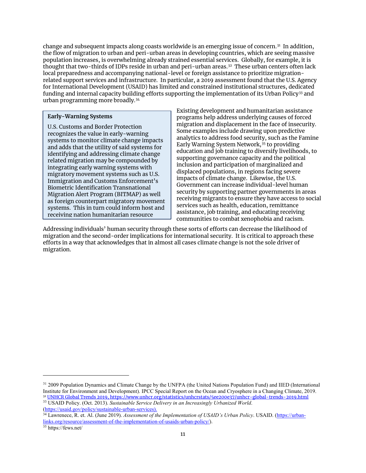change and subsequent impacts along coasts worldwide is an emerging issue of concern.[31](#page-10-1) In addition, the flow of migration to urban and peri-urban areas in developing countries, which are seeing massive population increases, is overwhelming already strained essential services. Globally, for example, it is thought that two-thirds of IDPs reside in urban and peri-urban areas.[32](#page-10-2) These urban centers often lack local preparedness and accompanying national-level or foreign assistance to prioritize migrationrelated support services and infrastructure. In particular, a 2019 assessment found that the U.S. Agency for International Development (USAID) has limited and constrained institutional structures, dedicated funding and internal capacity building efforts supporting the implementation of its Urban Policy<sup>[33](#page-10-3)</sup> and urban programming more broadly.[34](#page-10-4)

#### **Early-Warning Systems**

Ī

U.S. Customs and Border Protection recognizes the value in early-warning systems to monitor climate change impacts and adds that the utility of said systems for identifying and addressing climate change related migration may be compounded by integrating early warning systems with migratory movement systems such as U.S. Immigration and Customs Enforcement's Biometric Identification Transnational Migration Alert Program (BITMAP) as well as foreign counterpart migratory movement systems. This in turn could inform host and receiving nation humanitarian resource

Existing development and humanitarian assistance programs help address underlying causes of forced migration and displacement in the face of insecurity. Some examples include drawing upon predictive analytics to address food security, such as the Famine Early Warning System Network,<sup>[35](#page-10-5)</sup> to providing education and job training to diversify livelihoods, to supporting governance capacity and the political inclusion and participation of marginalized and displaced populations, in regions facing severe impacts of climate change. Likewise, the U.S. Government can increase individual-level human security by supporting partner governments in areas receiving migrants to ensure they have access to social services such as health, education, remittance assistance, job training, and educating receiving communities to combat xenophobia and racism.

<span id="page-10-0"></span>Addressing individuals' human security through these sorts of efforts can decrease the likelihood of migration and the second-order implications for international security. It is critical to approach these efforts in a way that acknowledges that in almost all cases climate change is not the sole driver of migration.

<span id="page-10-1"></span><sup>31</sup> 2009 Population Dynamics and Climate Change by the UNFPA (the United Nations Population Fund) and IIED (International Institute for Environment and Development). IPCC Special Report on the Ocean and Cryosphere in a Changing Climate, 2019. 32 [UNHCR Global Trends 2019, https://www.unhcr.org/statistics/unhcrstats/5ee200e37/unhcr-global-trends-2019.html](https://www.unhcr.org/statistics/unhcrstats/5ee200e37/unhcr-global-trends-2019.html)

<span id="page-10-3"></span><span id="page-10-2"></span><sup>33</sup> USAID Policy. (Oct. 2013). *Sustainable Service Delivery in an Increasingly Urbanized World*. [\(https://usaid.gov/policy/sustainable-urban-services\)](https://usaid.gov/policy/sustainable-urban-services).

<span id="page-10-4"></span><sup>34</sup> Lawrenece, R. et. Al. (June 2019). *Assessment of the Implementation of USAID's Urban Policy*. USAID. [\(https://urban](https://urban-links.org/resource/assessment-of-the-implementation-of-usaids-urban-policy/)[links.org/resource/assessment-of-the-implementation-of-usaids-urban-policy/\)](https://urban-links.org/resource/assessment-of-the-implementation-of-usaids-urban-policy/). 35 https://fews.net/

<span id="page-10-5"></span>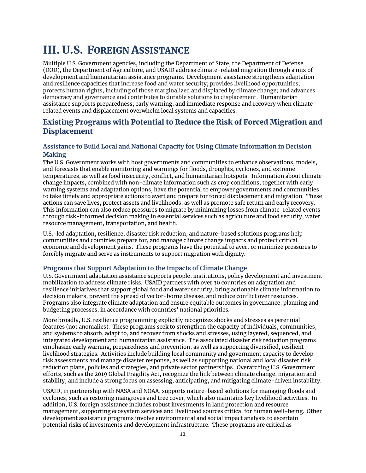# III. U.S. FOREIGN ASSISTANCE

Multiple U.S. Government agencies, including the Department of State, the Department of Defense (DOD), the Department of Agriculture, and USAID address climate-related migration through a mix of development and humanitarian assistance programs. Development assistance strengthens adaptation and resilience capacities that increase food and water security; provides livelihood opportunities; protects human rights, including of those marginalized and displaced by climate change; and advances democracy and governance and contributes to durable solutions to displacement. Humanitarian assistance supports preparedness, early warning, and immediate response and recovery when climaterelated events and displacement overwhelm local systems and capacities.

## <span id="page-11-0"></span>Existing Programs with Potential to Reduce the Risk of Forced Migration and Displacement

#### <span id="page-11-1"></span>**Assistance to Build Local and National Capacity for Using Climate Information in Decision Making**

The U.S. Government works with host governments and communities to enhance observations, models, and forecasts that enable monitoring and warnings for floods, droughts, cyclones, and extreme temperatures, as well as food insecurity, conflict, and humanitarian hotspots. Information about climate change impacts, combined with non-climate information such as crop conditions, together with early warning systems and adaptation options, have the potential to empower governments and communities to take timely and appropriate actions to avert and prepare for forced displacement and migration. These actions can save lives, protect assets and livelihoods, as well as promote safe return and early recovery. This information can also reduce pressures to migrate by minimizing losses from climate-related events through risk-informed decision making in essential services such as agriculture and food security, water resource management, transportation, and health.

U.S.-led adaptation, resilience, disaster risk reduction, and nature-based solutions programs help communities and countries prepare for, and manage climate change impacts and protect critical economic and development gains. These programs have the potential to avert or minimize pressures to forcibly migrate and serve as instruments to support migration with dignity.

#### <span id="page-11-2"></span>**Programs that Support Adaptation to the Impacts of Climate Change**

U.S. Government adaptation assistance supports people, institutions, policy development and investment mobilization to address climate risks. USAID partners with over 30 countries on adaptation and resilience initiatives that support global food and water security, bring actionable climate information to decision makers, prevent the spread of vector-borne disease, and reduce conflict over resources. Programs also integrate climate adaptation and ensure equitable outcomes in governance, planning and budgeting processes, in accordance with countries' national priorities.

More broadly, U.S. resilience programming explicitly recognizes shocks and stresses as perennial features (not anomalies). These programs seek to strengthen the capacity of individuals, communities, and systems to absorb, adapt to, and recover from shocks and stresses, using layered, sequenced, and integrated development and humanitarian assistance. The associated disaster risk reduction programs emphasize early warning, preparedness and prevention, as well as supporting diversified, resilient livelihood strategies. Activities include building local community and government capacity to develop risk assessments and manage disaster response, as well as supporting national and local disaster risk reduction plans, policies and strategies, and private sector partnerships. Overarching U.S. Government efforts, such as the 2019 Global Fragility Act, recognize the link between climate change, migration and stability; and include a strong focus on assessing, anticipating, and mitigating climate-driven instability.

USAID, in partnership with NASA and NOAA, supports nature-based solutions for managing floods and cyclones, such as restoring mangroves and tree cover, which also maintains key livelihood activities. In addition, U.S. foreign assistance includes robust investments in land protection and resource management, supporting ecosystem services and livelihood sources critical for human well-being. Other development assistance programs involve environmental and social impact analysis to ascertain potential risks of investments and development infrastructure. These programs are critical as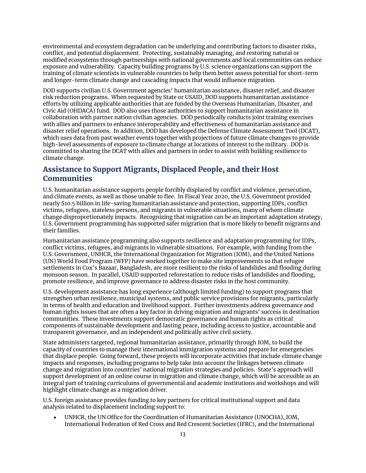environmental and ecosystem degradation can be underlying and contributing factors to disaster risks, conflict, and potential displacement. Protecting, sustainably managing, and restoring natural or modified ecosystems through partnerships with national governments and local communities can reduce exposure and vulnerability. Capacity building programs by U.S. science organizations can support the training of climate scientists in vulnerable countries to help them better assess potential for short-term and longer-term climate change and cascading impacts that would influence migration.

DOD supports civilian U.S. Government agencies' humanitarian assistance, disaster relief, and disaster risk reduction programs. When requested by State or USAID, DOD supports humanitarian assistance efforts by utilizing applicable authorities that are funded by the Overseas Humanitarian, Disaster, and Civic Aid (OHDACA) fund. DOD also uses those authorities to support humanitarian assistance in collaboration with partner nation civilian agencies. DOD periodically conducts joint training exercises with allies and partners to enhance interoperability and effectiveness of humanitarian assistance and disaster relief operations. In addition, DOD has developed the Defense Climate Assessment Tool (DCAT), which uses data from past weather events together with projections of future climate changes to provide high-level assessments of exposure to climate change at locations of interest to the military. DOD is committed to sharing the DCAT with allies and partners in order to assist with building resilience to climate change.

# <span id="page-12-0"></span>Assistance to Support Migrants, Displaced People, and their Host **Communities**

U.S. humanitarian assistance supports people forcibly displaced by conflict and violence, persecution, and climate events, as well as those unable to flee. In Fiscal Year 2020, the U.S. Government provided nearly \$10.5 billion in life-saving humanitarian assistance and protection, supporting IDPs, conflict victims, refugees, stateless persons, and migrants in vulnerable situations, many of whom climate change disproportionately impacts. Recognizing that migration can be an important adaptation strategy, U.S. Government programming has supported safer migration that is more likely to benefit migrants and their families.

Humanitarian assistance programming also supports resilience and adaptation programming for IDPs, conflict victims, refugees, and migrants in vulnerable situations. For example, with funding from the U.S. Government, UNHCR, the International Organization for Migration (IOM), and the United Nations (UN) World Food Program (WFP) have worked together to make site improvements so that refugee settlements in Cox's Bazaar, Bangladesh, are more resilient to the risks of landslides and flooding during monsoon season. In parallel, USAID supported reforestation to reduce risks of landslides and flooding, promote resilience, and improve governance to address disaster risks in the host community.

U.S. development assistance has long experience (although limited funding) to support programs that strengthen urban resilience, municipal systems, and public service provisions for migrants, particularly in terms of health and education and livelihood support. Further investments address governance and human rights issues that are often a key factor in driving migration and migrants' success in destination communities. These investments support democratic governance and human rights as critical components of sustainable development and lasting peace, including access to justice, accountable and transparent governance, and an independent and politically active civil society.

State administers targeted, regional humanitarian assistance, primarily through IOM, to build the capacity of countries to manage their international immigration systems and prepare for emergencies that displace people. Going forward, these projects will incorporate activities that include climate change impacts and responses, including programs to help take into account the linkages between climate change and migration into countries' national migration strategies and policies. State's approach will support development of an online course in migration and climate change, which will be accessible as an integral part of training curriculums of governmental and academic institutions and workshops and will highlight climate change as a migration driver.

U.S. foreign assistance provides funding to key partners for critical institutional support and data analysis related to displacement including support to:

• UNHCR, the UN Office for the Coordination of Humanitarian Assistance (UNOCHA), IOM, International Federation of Red Cross and Red Crescent Societies (IFRC), and the International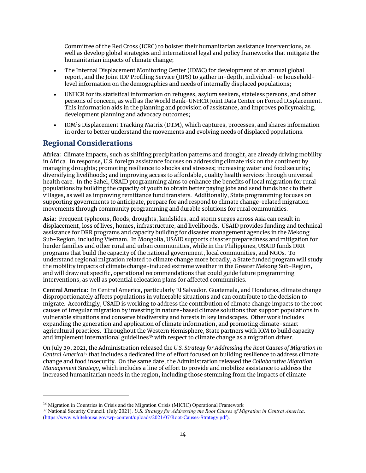Committee of the Red Cross (ICRC) to bolster their humanitarian assistance interventions, as well as develop global strategies and international legal and policy frameworks that mitigate the humanitarian impacts of climate change;

- The Internal Displacement Monitoring Center (IDMC) for development of an annual global report, and the Joint IDP Profiling Service (JIPS) to gather in-depth, individual- or householdlevel information on the demographics and needs of internally displaced populations;
- UNHCR for its statistical information on refugees, asylum seekers, stateless persons, and other persons of concern, as well as the World Bank-UNHCR Joint Data Center on Forced Displacement. This information aids in the planning and provision of assistance, and improves policymaking, development planning and advocacy outcomes;
- IOM's Displacement Tracking Matrix (DTM), which captures, processes, and shares information in order to better understand the movements and evolving needs of displaced populations.

# <span id="page-13-0"></span>Regional Considerations

 $\overline{a}$ 

**Africa:** Climate impacts, such as shifting precipitation patterns and drought, are already driving mobility in Africa. In response, U.S. foreign assistance focuses on addressing climate risk on the continent by managing droughts; promoting resilience to shocks and stresses; increasing water and food security; diversifying livelihoods; and improving access to affordable, quality health services through universal health care. In the Sahel, USAID programming aims to enhance the benefits of local migration for rural populations by building the capacity of youth to obtain better paying jobs and send funds back to their villages, as well as improving remittance fund transfers. Additionally, State programming focuses on supporting governments to anticipate, prepare for and respond to climate change-related migration movements through community programming and durable solutions for rural communities.

**Asia:** Frequent typhoons, floods, droughts, landslides, and storm surges across Asia can result in displacement, loss of lives, homes, infrastructure, and livelihoods. USAID provides funding and technical assistance for DRR programs and capacity building for disaster management agencies in the Mekong Sub-Region, including Vietnam. In Mongolia, USAID supports disaster preparedness and mitigation for herder families and other rural and urban communities, while in the Philippines, USAID funds DRR programs that build the capacity of the national government, local communities, and NGOs. To understand regional migration related to climate change more broadly, a State funded program will study the mobility impacts of climate change-induced extreme weather in the Greater Mekong Sub-Region, and will draw out specific, operational recommendations that could guide future programming interventions, as well as potential relocation plans for affected communities.

**Central America:** In Central America, particularly El Salvador, Guatemala, and Honduras, climate change disproportionately affects populations in vulnerable situations and can contribute to the decision to migrate. Accordingly, USAID is working to address the contribution of climate change impacts to the root causes of irregular migration by investing in nature-based climate solutions that support populations in vulnerable situations and conserve biodiversity and forests in key landscapes. Other work includes expanding the generation and application of climate information, and promoting climate-smart agricultural practices. Throughout the Western Hemisphere, State partners with IOM to build capacity and implement international guidelines<sup>36</sup> with respect to climate change as a migration driver.

On July 29, 2021, the Administration released the *U.S. Strategy for Addressing the Root Causes of Migration in Central America[37](#page-13-2)* that includes a dedicated line of effort focused on building resilience to address climate change and food insecurity. On the same date, the Administration released the *Collaborative Migration Management Strategy*, which includes a line of effort to provide and mobilize assistance to address the increased humanitarian needs in the region, including those stemming from the impacts of climate

<span id="page-13-1"></span><sup>&</sup>lt;sup>36</sup> Migration in Countries in Crisis and the Migration Crisis (MICIC) Operational Framework

<span id="page-13-2"></span><sup>37</sup> National Security Council. (July 2021). *U.S. Strategy for Addressing the Root Causes of Migration in Central America*. [\(https://www.whitehouse.gov/wp-content/uploads/2021/07/Root-Causes-Strategy.pdf\)](https://www.whitehouse.gov/wp-content/uploads/2021/07/Root-Causes-Strategy.pdf).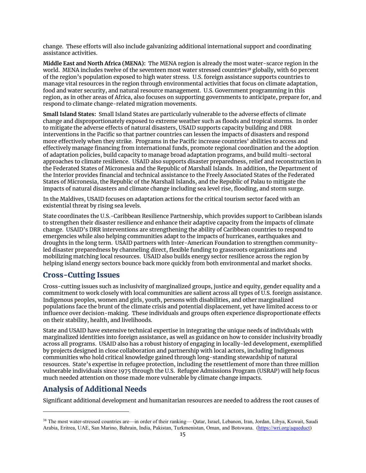change. These efforts will also include galvanizing additional international support and coordinating assistance activities.

**Middle East and North Africa (MENA):** The MENA region is already the most water-scarce region in the world. MENA includes twelve of the seventeen most water stressed countries<sup>[38](#page-14-2)</sup> globally, with 60 percent of the region's population exposed to high water stress. U.S. foreign assistance supports countries to manage vital resources in the region through environmental activities that focus on climate adaptation, food and water security, and natural resource management. U.S. Government programming in this region, as in other areas of Africa, also focuses on supporting governments to anticipate, prepare for, and respond to climate change-related migration movements.

**Small Island States:** Small Island States are particularly vulnerable to the adverse effects of climate change and disproportionately exposed to extreme weather such as floods and tropical storms. In order to mitigate the adverse effects of natural disasters, USAID supports capacity building and DRR interventions in the Pacific so that partner countries can lessen the impacts of disasters and respond more effectively when they strike. Programs in the Pacific increase countries' abilities to access and effectively manage financing from international funds, promote regional coordination and the adoption of adaptation policies, build capacity to manage broad adaptation programs, and build multi-sectoral approaches to climate resilience. USAID also supports disaster preparedness, relief and reconstruction in the Federated States of Micronesia and the Republic of Marshall Islands. In addition, the Department of the Interior provides financial and technical assistance to the Freely Associated States of the Federated States of Micronesia, the Republic of the Marshall Islands, and the Republic of Palau to mitigate the impacts of natural disasters and climate change including sea level rise, flooding, and storm surge.

In the Maldives, USAID focuses on adaptation actions for the critical tourism sector faced with an existential threat by rising sea levels.

State coordinates the U.S.-Caribbean Resilience Partnership, which provides support to Caribbean islands to strengthen their disaster resilience and enhance their adaptive capacity from the impacts of climate change. USAID's DRR interventions are strengthening the ability of Caribbean countries to respond to emergencies while also helping communities adapt to the impacts of hurricanes, earthquakes and droughts in the long term. USAID partners with Inter-American Foundation to strengthen communityled disaster preparedness by channeling direct, flexible funding to grassroots organizations and mobilizing matching local resources. USAID also builds energy sector resilience across the region by helping island energy sectors bounce back more quickly from both environmental and market shocks.

#### <span id="page-14-0"></span>Cross-Cutting Issues

Cross-cutting issues such as inclusivity of marginalized groups, justice and equity, gender equality and a commitment to work closely with local communities are salient across all types of U.S. foreign assistance. Indigenous peoples, women and girls, youth, persons with disabilities, and other marginalized populations face the brunt of the climate crisis and potential displacement, yet have limited access to or influence over decision-making. These individuals and groups often experience disproportionate effects on their stability, health, and livelihoods.

State and USAID have extensive technical expertise in integrating the unique needs of individuals with marginalized identities into foreign assistance, as well as guidance on how to consider inclusivity broadly across all programs. USAID also has a robust history of engaging in locally-led development, exemplified by projects designed in close collaboration and partnership with local actors, including Indigenous communities who hold critical knowledge gained through long-standing stewardship of natural resources. State's expertise in refugee protection, including the resettlement of more than three million vulnerable individuals since 1975 through the U.S. Refugee Admissions Program (USRAP) will help focus much needed attention on those made more vulnerable by climate change impacts.

### <span id="page-14-1"></span>Analysis of Additional Needs

 $\overline{a}$ 

Significant additional development and humanitarian resources are needed to address the root causes of

<span id="page-14-2"></span><sup>&</sup>lt;sup>38</sup> The most water-stressed countries are—in order of their ranking— Qatar, Israel, Lebanon, Iran, Jordan, Libya, Kuwait, Saudi Arabia, Eritrea, UAE, San Marino, Bahrain, India, Pakistan, Turkmenistan, Oman, and Botswana. [\(https://wri.org/aqueduct\)](https://wri.org/aqueduct)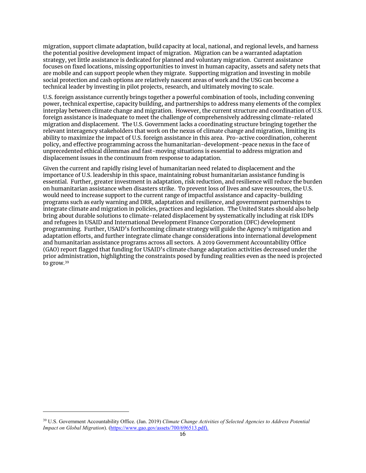migration, support climate adaptation, build capacity at local, national, and regional levels, and harness the potential positive development impact of migration. Migration can be a warranted adaptation strategy, yet little assistance is dedicated for planned and voluntary migration. Current assistance focuses on fixed locations, missing opportunities to invest in human capacity, assets and safety nets that are mobile and can support people when they migrate. Supporting migration and investing in mobile social protection and cash options are relatively nascent areas of work and the USG can become a technical leader by investing in pilot projects, research, and ultimately moving to scale.

U.S. foreign assistance currently brings together a powerful combination of tools, including convening power, technical expertise, capacity building, and partnerships to address many elements of the complex interplay between climate change and migration. However, the current structure and coordination of U.S. foreign assistance is inadequate to meet the challenge of comprehensively addressing climate-related migration and displacement. The U.S. Government lacks a coordinating structure bringing together the relevant interagency stakeholders that work on the nexus of climate change and migration, limiting its ability to maximize the impact of U.S. foreign assistance in this area. Pro-active coordination, coherent policy, and effective programming across the humanitarian-development-peace nexus in the face of unprecedented ethical dilemmas and fast-moving situations is essential to address migration and displacement issues in the continuum from response to adaptation.

<span id="page-15-0"></span>Given the current and rapidly rising level of humanitarian need related to displacement and the importance of U.S. leadership in this space, maintaining robust humanitarian assistance funding is essential. Further, greater investment in adaptation, risk reduction, and resilience will reduce the burden on humanitarian assistance when disasters strike. To prevent loss of lives and save resources, the U.S. would need to increase support to the current range of impactful assistance and capacity-building programs such as early warning and DRR, adaptation and resilience, and government partnerships to integrate climate and migration in policies, practices and legislation. The United States should also help bring about durable solutions to climate-related displacement by systematically including at risk IDPs and refugees in USAID and International Development Finance Corporation (DFC) development programming. Further, USAID's forthcoming climate strategy will guide the Agency's mitigation and adaptation efforts, and further integrate climate change considerations into international development and humanitarian assistance programs across all sectors. A 2019 Government Accountability Office (GAO) report flagged that funding for USAID's climate change adaptation activities decreased under the prior administration, highlighting the constraints posed by funding realities even as the need is projected to grow.[39](#page-15-1)

<span id="page-15-1"></span><sup>39</sup> U.S. Government Accountability Office. (Jan. 2019) *Climate Change Activities of Selected Agencies to Address Potential Impact on Global Migration*). [\(https://www.gao.gov/assets/700/696513.pdf\)](https://www.gao.gov/assets/700/696513.pdf).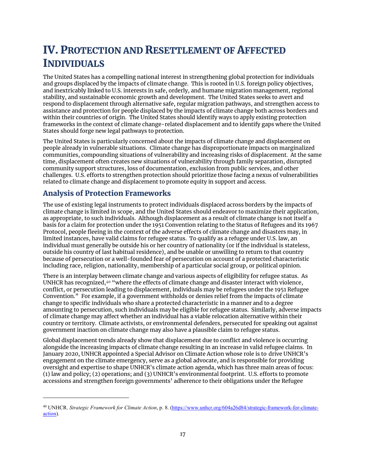# IV. PROTECTION AND RESETTLEMENT OF AFFECTED INDIVIDUALS

The United States has a compelling national interest in strengthening global protection for individuals and groups displaced by the impacts of climate change. This is rooted in U.S. foreign policy objectives, and inextricably linked to U.S. interests in safe, orderly, and humane migration management, regional stability, and sustainable economic growth and development. The United States seeks to avert and respond to displacement through alternative safe, regular migration pathways, and strengthen access to assistance and protection for people displaced by the impacts of climate change both across borders and within their countries of origin. The United States should identify ways to apply existing protection frameworks in the context of climate change-related displacement and to identify gaps where the United States should forge new legal pathways to protection.

The United States is particularly concerned about the impacts of climate change and displacement on people already in vulnerable situations. Climate change has disproportionate impacts on marginalized communities, compounding situations of vulnerability and increasing risks of displacement. At the same time, displacement often creates new situations of vulnerability through family separation, disrupted community support structures, loss of documentation, exclusion from public services, and other challenges. U.S. efforts to strengthen protection should prioritize those facing a nexus of vulnerabilities related to climate change and displacement to promote equity in support and access.

# <span id="page-16-0"></span>Analysis of Protection Frameworks

 $\overline{a}$ 

The use of existing legal instruments to protect individuals displaced across borders by the impacts of climate change is limited in scope, and the United States should endeavor to maximize their application, as appropriate, to such individuals. Although displacement as a result of climate change is not itself a basis for a claim for protection under the 1951 Convention relating to the Status of Refugees and its 1967 Protocol, people fleeing in the context of the adverse effects of climate change and disasters may, in limited instances, have valid claims for refugee status. To qualify as a refugee under U.S. law, an individual must generally be outside his or her country of nationality (or if the individual is stateless, outside his country of last habitual residence), and be unable or unwilling to return to that country because of persecution or a well-founded fear of persecution on account of a protected characteristic including race, religion, nationality, membership of a particular social group, or political opinion.

There is an interplay between climate change and various aspects of eligibility for refugee status. As UNHCR has recognized,[40](#page-16-1) "where the effects of climate change and disaster interact with violence, conflict, or persecution leading to displacement, individuals may be refugees under the 1951 Refugee Convention." For example, if a government withholds or denies relief from the impacts of climate change to specific individuals who share a protected characteristic in a manner and to a degree amounting to persecution, such individuals may be eligible for refugee status. Similarly, adverse impacts of climate change may affect whether an individual has a viable relocation alternative within their country or territory. Climate activists, or environmental defenders, persecuted for speaking out against government inaction on climate change may also have a plausible claim to refugee status.

Global displacement trends already show that displacement due to conflict and violence is occurring alongside the increasing impacts of climate change resulting in an increase in valid refugee claims. In January 2020, UNHCR appointed a Special Advisor on Climate Action whose role is to drive UNHCR's engagement on the climate emergency, serve as a global advocate, and is responsible for providing oversight and expertise to shape UNHCR's climate action agenda, which has three main areas of focus: (1) law and policy; (2) operations; and (3) UNHCR's environmental footprint. U.S. efforts to promote accessions and strengthen foreign governments' adherence to their obligations under the Refugee

<span id="page-16-1"></span><sup>40</sup> UNHCR. *Strategic Framework for Climate Action*, p. 8. [\(https://www.unhcr.org/604a26d84/strategic-framework-for-climate](https://www.unhcr.org/604a26d84/strategic-framework-for-climate-action)[action\)](https://www.unhcr.org/604a26d84/strategic-framework-for-climate-action).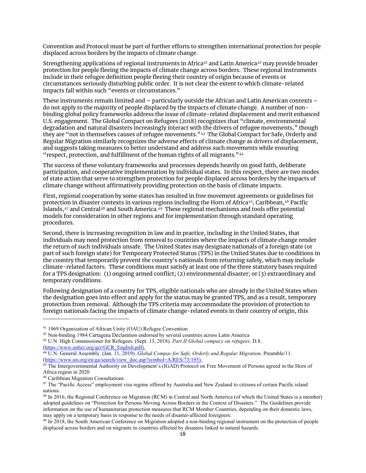Convention and Protocol must be part of further efforts to strengthen international protection for people displaced across borders by the impacts of climate change.

Strengthening applications of regional instruments in Africa<sup>[41](#page-17-0)</sup> and Latin America<sup>[42](#page-17-1)</sup> may provide broader protection for people fleeing the impacts of climate change across borders. These regional instruments include in their refugee definition people fleeing their country of origin because of events or circumstances seriously disturbing public order. It is not clear the extent to which climate-related impacts fall within such "events or circumstances."

These instruments remain limited and – particularly outside the African and Latin American contexts – do not apply to the majority of people displaced by the impacts of climate change. A number of nonbinding global policy frameworks address the issue of climate-related displacement and merit enhanced U.S. engagement. The Global Compact on Refugees (2018) recognizes that "climate, environmental degradation and natural disasters increasingly interact with the drivers of refugee movements," though they are "not in themselves causes of refugee movements."<sup>[43](#page-17-2)</sup> The Global Compact for Safe, Orderly and Regular Migration similarly recognizes the adverse effects of climate change as drivers of displacement, and suggests taking measures to better understand and address such movements while ensuring "respect, protection, and fulfillment of the human rights of all migrants."<sup>[44](#page-17-3)</sup>

The success of these voluntary frameworks and processes depends heavily on good faith, deliberate participation, and cooperative implementation by individual states. In this respect, there are two modes of state action that serve to strengthen protection for people displaced across borders by the impacts of climate change without affirmatively providing protection on the basis of climate impacts.

First, regional cooperation by some states has resulted in free movement agreements or guidelines for protection in disaster contexts in various regions including the Horn of Africa<sup>45</sup>, Caribbean,<sup>46</sup> Pacific Islands,[47](#page-17-6) and Central[48](#page-17-7) and South America. [49](#page-17-8) These regional mechanisms and tools offer potential models for consideration in other regions and for implementation through standard operating procedures.

Second, there is increasing recognition in law and in practice, including in the United States, that individuals may need protection from removal to countries where the impacts of climate change render the return of such individuals unsafe. The United States may designate nationals of a foreign state (or part of such foreign state) for Temporary Protected Status (TPS) in the United States due to conditions in the country that temporarily prevent the country's nationals from returning safely, which may include climate-related factors. These conditions must satisfy at least one of the three statutory bases required for a TPS designation: (1) ongoing armed conflict; (2) environmental disaster; or (3) extraordinary and temporary conditions.

Following designation of a country for TPS, eligible nationals who are already in the United States when the designation goes into effect and apply for the status may be granted TPS, and as a result, temporary protection from removal. Although the TPS criteria may accommodate the provision of protection to foreign nationals facing the impacts of climate change-related events in their country of origin, this

<span id="page-17-0"></span><sup>41</sup> 1969 Organization of African Unity (OAU) Refugee Convention

<span id="page-17-1"></span><sup>42</sup> Non-binding 1984 Cartagena Declaration endorsed by several countries across Latin America

<span id="page-17-2"></span><sup>43</sup> U.N. High Commissioner for Refugees. (Sept. 13, 2018). *Part II Global compacy on refugees*. D.8. [\(https://www.unhcr.org/gcr/GCR\\_English.pdf\)](https://www.unhcr.org/gcr/GCR_English.pdf).

<span id="page-17-3"></span><sup>44</sup> U.N. General Assembly. (Jan. 11, 2019). *Global Compac for Safe, Orderly and Regular Migration*. Preamble/11. [\(https://www.un.org/en/ga/search/view\\_doc.asp?symbol=A/RES/73/195\)](https://www.un.org/en/ga/search/view_doc.asp?symbol=A/RES/73/195).

<span id="page-17-4"></span><sup>&</sup>lt;sup>45</sup> The Intergovernmental Authority on Development's (IGAD) Protocol on Free Movement of Persons agreed in the Horn of Africa region in 2020

<sup>46</sup> Caribbean Migration Consultations

<span id="page-17-6"></span><span id="page-17-5"></span><sup>&</sup>lt;sup>47</sup> The "Pacific Access" employment visa regime offered by Australia and New Zealand to citizens of certain Pacific island nations.

<span id="page-17-7"></span><sup>&</sup>lt;sup>48</sup> In 2016, the Regional Conference on Migration (RCM) in Central and North America (of which the United States is a member) adopted guidelines on "Protection for Persons Moving Across Borders in the Context of Disasters." The Guidelines provide information on the use of humanitarian protection measures that RCM Member Countries, depending on their domestic laws, may apply on a temporary basis in response to the needs of disaster-affected foreigners.

<span id="page-17-8"></span> $49$  In 2018, the South American Conference on Migration adopted a non-binding regional instrument on the protection of people displaced across borders and on migrants in countries affected by disasters linked to natural hazards.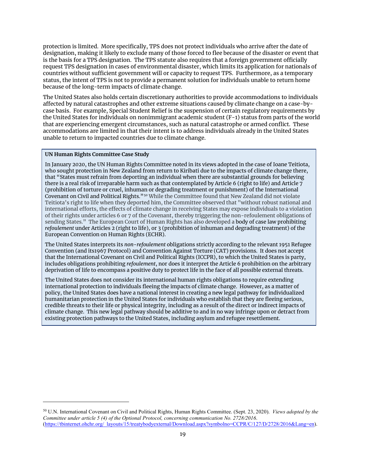protection is limited. More specifically, TPS does not protect individuals who arrive after the date of designation, making it likely to exclude many of those forced to flee because of the disaster or event that is the basis for a TPS designation. The TPS statute also requires that a foreign government officially request TPS designation in cases of environmental disaster, which limits its application for nationals of countries without sufficient government will or capacity to request TPS. Furthermore, as a temporary status, the intent of TPS is not to provide a permanent solution for individuals unable to return home because of the long-term impacts of climate change.

The United States also holds certain discretionary authorities to provide accommodations to individuals affected by natural catastrophes and other extreme situations caused by climate change on a case-bycase basis. For example, Special Student Relief is the suspension of certain regulatory requirements by the United States for individuals on nonimmigrant academic student (F-1) status from parts of the world that are experiencing emergent circumstances, such as natural catastrophe or armed conflict. These accommodations are limited in that their intent is to address individuals already in the United States unable to return to impacted countries due to climate change.

#### <span id="page-18-0"></span>**UN Human Rights Committee Case Study**

 $\overline{a}$ 

In January 2020, the UN Human Rights Committee noted in its views adopted in the case of Ioane Teitiota, who sought protection in New Zealand from return to Kiribati due to the impacts of climate change there, that "States must refrain from deporting an individual when there are substantial grounds for believing there is a real risk of irreparable harm such as that contemplated by Article 6 (right to life) and Article 7 (prohibition of torture or cruel, inhuman or degrading treatment or punishment) of the International Covenant on Civil and Political Rights."[50](#page-18-1) While the Committee found that New Zealand did not violate Teitiota's right to life when they deported him, the Committee observed that "without robust national and international efforts, the effects of climate change in receiving States may expose individuals to a violation of their rights under articles 6 or 7 of the Covenant, thereby triggering the non-refoulement obligations of sending States." The European Court of Human Rights has also developed a body of case law prohibiting *refoulement* under Articles 2 (right to life), or 3 (prohibition of inhuman and degrading treatment) of the European Convention on Human Rights (ECHR).

The United States interprets its *non-refoulement* obligations strictly according to the relevant 1951 Refugee Convention (and its1967 Protocol) and Convention Against Torture (CAT) provisions. It does not accept that the International Covenant on Civil and Political Rights (ICCPR), to which the United States is party, includes obligations prohibiting *refoulement*, nor does it interpret the Article 6 prohibition on the arbitrary deprivation of life to encompass a positive duty to protect life in the face of all possible external threats.

The United States does not consider its international human rights obligations to require extending international protection to individuals fleeing the impacts of climate change. However, as a matter of policy, the United States does have a national interest in creating a new legal pathway for individualized humanitarian protection in the United States for individuals who establish that they are fleeing serious, credible threats to their life or physical integrity, including as a result of the direct or indirect impacts of climate change. This new legal pathway should be additive to and in no way infringe upon or detract from existing protection pathways to the United States, including asylum and refugee resettlement.

<span id="page-18-1"></span><sup>50</sup> U.N. International Covenant on Civil and Political Rights, Human Rights Committee. (Sept. 23, 2020). *Views adopted by the Committee under article 5 (4) of the Optional Protocol, concerning communication No. 2728/2016*. [\(https://tbinternet.ohchr.org/\\_layouts/15/treatybodyexternal/Download.aspx?symbolno=CCPR/C/127/D/2728/2016&Lang=en\)](https://tbinternet.ohchr.org/_layouts/15/treatybodyexternal/Download.aspx?symbolno=CCPR/C/127/D/2728/2016&Lang=en).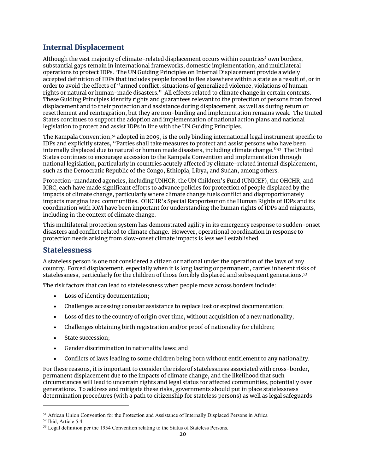# Internal Displacement

Although the vast majority of climate-related displacement occurs within countries' own borders, substantial gaps remain in international frameworks, domestic implementation, and multilateral operations to protect IDPs. The UN Guiding Principles on Internal Displacement provide a widely accepted definition of IDPs that includes people forced to flee elsewhere within a state as a result of, or in order to avoid the effects of "armed conflict, situations of generalized violence, violations of human rights or natural or human-made disasters." All effects related to climate change in certain contexts. These Guiding Principles identify rights and guarantees relevant to the protection of persons from forced displacement and to their protection and assistance during displacement, as well as during return or resettlement and reintegration, but they are non-binding and implementation remains weak. The United States continues to support the adoption and implementation of national action plans and national legislation to protect and assist IDPs in line with the UN Guiding Principles.

The Kampala Convention,<sup>[51](#page-19-1)</sup> adopted in 2009, is the only binding international legal instrument specific to IDPs and explicitly states, "Parties shall take measures to protect and assist persons who have been internally displaced due to natural or human made disasters, including climate change."<sup>[52](#page-19-2)</sup> The United States continues to encourage accession to the Kampala Convention and implementation through national legislation, particularly in countries acutely affected by climate-related internal displacement, such as the Democratic Republic of the Congo, Ethiopia, Libya, and Sudan, among others.

Protection-mandated agencies, including UNHCR, the UN Children's Fund (UNICEF), the OHCHR, and ICRC, each have made significant efforts to advance policies for protection of people displaced by the impacts of climate change, particularly where climate change fuels conflict and disproportionately impacts marginalized communities. OHCHR's Special Rapporteur on the Human Rights of IDPs and its coordination with IOM have been important for understanding the human rights of IDPs and migrants, including in the context of climate change.

This multilateral protection system has demonstrated agility in its emergency response to sudden-onset disasters and conflict related to climate change. However, operational coordination in response to protection needs arising from slow-onset climate impacts is less well established.

#### <span id="page-19-0"></span>Statelessness

A stateless person is one not considered a citizen or national under the operation of the laws of any country. Forced displacement, especially when it is long lasting or permanent, carries inherent risks of statelessness, particularly for the children of those forcibly displaced and subsequent generations.[53](#page-19-3) 

The risk factors that can lead to statelessness when people move across borders include:

- Loss of identity documentation;
- Challenges accessing consular assistance to replace lost or expired documentation;
- Loss of ties to the country of origin over time, without acquisition of a new nationality;
- Challenges obtaining birth registration and/or proof of nationality for children;
- State succession;
- Gender discrimination in nationality laws; and
- Conflicts of laws leading to some children being born without entitlement to any nationality.

For these reasons, it is important to consider the risks of statelessness associated with cross-border, permanent displacement due to the impacts of climate change, and the likelihood that such circumstances will lead to uncertain rights and legal status for affected communities, potentially over generations. To address and mitigate these risks, governments should put in place statelessness determination procedures (with a path to citizenship for stateless persons) as well as legal safeguards

<span id="page-19-1"></span><sup>51</sup> African Union Convention for the Protection and Assistance of Internally Displaced Persons in Africa

<span id="page-19-2"></span><sup>52</sup> Ibid, Article 5.4

<span id="page-19-3"></span><sup>&</sup>lt;sup>53</sup> Legal definition per the 1954 Convention relating to the Status of Stateless Persons.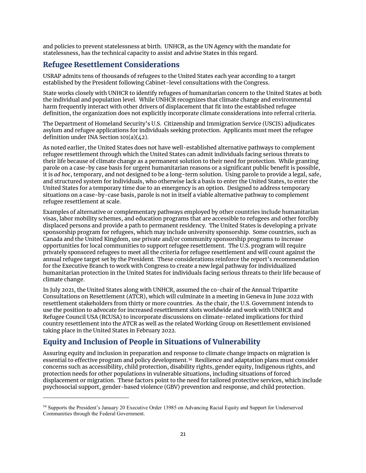and policies to prevent statelessness at birth. UNHCR, as the UN Agency with the mandate for statelessness, has the technical capacity to assist and advise States in this regard.

### <span id="page-20-0"></span>Refugee Resettlement Considerations

USRAP admits tens of thousands of refugees to the United States each year according to a target established by the President following Cabinet-level consultations with the Congress.

State works closely with UNHCR to identify refugees of humanitarian concern to the United States at both the individual and population level. While UNHCR recognizes that climate change and environmental harm frequently interact with other drivers of displacement that fit into the established refugee definition, the organization does not explicitly incorporate climate considerations into referral criteria.

The Department of Homeland Security's U.S. Citizenship and Immigration Service (USCIS) adjudicates asylum and refugee applications for individuals seeking protection. Applicants must meet the refugee definition under INA Section 101(a)(42).

As noted earlier, the United States does not have well-established alternative pathways to complement refugee resettlement through which the United States can admit individuals facing serious threats to their life because of climate change as a permanent solution to their need for protection. While granting parole on a case-by case basis for urgent humanitarian reasons or a significant public benefit is possible, it is *ad hoc*, temporary, and not designed to be a long-term solution. Using parole to provide a legal, safe, and structured system for individuals, who otherwise lack a basis to enter the United States, to enter the United States for a temporary time due to an emergency is an option. Designed to address temporary situations on a case-by-case basis, parole is not in itself a viable alternative pathway to complement refugee resettlement at scale.

Examples of alternative or complementary pathways employed by other countries include humanitarian visas, labor mobility schemes, and education programs that are accessible to refugees and other forcibly displaced persons and provide a path to permanent residency. The United States is developing a private sponsorship program for refugees, which may include university sponsorship. Some countries, such as Canada and the United Kingdom, use private and/or community sponsorship programs to increase opportunities for local communities to support refugee resettlement. The U.S. program will require privately sponsored refugees to meet all the criteria for refugee resettlement and will count against the annual refugee target set by the President. These considerations reinforce the report's recommendation for the Executive Branch to work with Congress to create a new legal pathway for individualized humanitarian protection in the United States for individuals facing serious threats to their life because of climate change.

In July 2021, the United States along with UNHCR, assumed the co-chair of the Annual Tripartite Consultations on Resettlement (ATCR), which will culminate in a meeting in Geneva in June 2022 with resettlement stakeholders from thirty or more countries. As the chair, the U.S. Government intends to use the position to advocate for increased resettlement slots worldwide and work with UNHCR and Refugee Council USA (RCUSA) to incorporate discussions on climate-related implications for third country resettlement into the ATCR as well as the related Working Group on Resettlement envisioned taking place in the United States in February 2022.

### <span id="page-20-1"></span>Equity and Inclusion of People in Situations of Vulnerability

 $\overline{a}$ 

Assuring equity and inclusion in preparation and response to climate change impacts on migration is essential to effective program and policy development. [54](#page-20-2) Resilience and adaptation plans must consider concerns such as accessibility, child protection, disability rights, gender equity, Indigenous rights, and protection needs for other populations in vulnerable situations, including situations of forced displacement or migration. These factors point to the need for tailored protective services, which include psychosocial support, gender-based violence (GBV) prevention and response, and child protection.

<span id="page-20-2"></span><sup>54</sup> Supports the President's January 20 Executive Order 13985 on Advancing Racial Equity and Support for Underserved Communities through the Federal Government.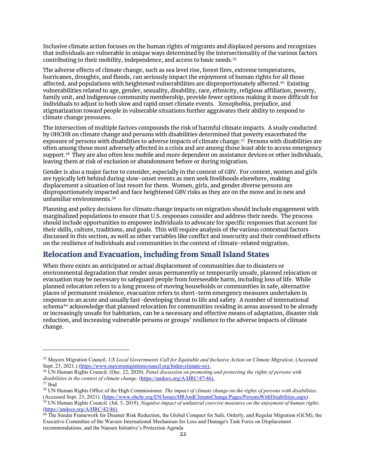Inclusive climate action focuses on the human rights of migrants and displaced persons and recognizes that individuals are vulnerable in unique ways determined by the intersectionality of the various factors contributing to their mobility, independence, and access to basic needs.[55](#page-21-1) 

The adverse effects of climate change, such as sea level rise, forest fires, extreme temperatures, hurricanes, droughts, and floods, can seriously impact the enjoyment of human rights for all those affected, and populations with heightened vulnerabilities are disproportionately affected.[56](#page-21-2) Existing vulnerabilities related to age, gender, sexuality, disability, race, ethnicity, religious affiliation, poverty, family unit, and indigenous community membership, provide fewer options making it more difficult for individuals to adjust to both slow and rapid onset climate events. Xenophobia, prejudice, and stigmatization toward people in vulnerable situations further aggravates their ability to respond to climate change pressures.

The intersection of multiple factors compounds the risk of harmful climate impacts. A study conducted by OHCHR on climate change and persons with disabilities determined that poverty exacerbated the exposure of persons with disabilities to adverse impacts of climate change.<sup>57</sup> Persons with disabilities are often among those most adversely affected in a crisis and are among those least able to access emergency support.[58](#page-21-4) They are also often less mobile and more dependent on assistance devices or other individuals, leaving them at risk of exclusion or abandonment before or during migration.

Gender is also a major factor to consider, especially in the context of GBV. For context, women and girls are typically left behind during slow-onset events as men seek livelihoods elsewhere, making displacement a situation of last resort for them. Women, girls, and gender diverse persons are disproportionately impacted and face heightened GBV risks as they are on the move and in new and unfamiliar environments.[59](#page-21-5) 

Planning and policy decisions for climate change impacts on migration should include engagement with marginalized populations to ensure that U.S. responses consider and address their needs. The process should include opportunities to empower individuals to advocate for specific responses that account for their skills, culture, traditions, and goals. This will require analysis of the various contextual factors discussed in this section, as well as other variables like conflict and insecurity and their combined effects on the resilience of individuals and communities in the context of climate-related migration.

### <span id="page-21-0"></span>Relocation and Evacuation, including from Small Island States

 $\overline{a}$ 

When there exists an anticipated or actual displacement of communities due to disasters or environmental degradation that render areas permanently or temporarily unsafe, planned relocation or evacuation may be necessary to safeguard people from foreseeable harm, including loss of life. While planned relocation refers to a long process of moving households or communities in safe, alternative places of permanent residence, evacuation refers to short-term emergency measures undertaken in response to an acute and usually fast-developing threat to life and safety. A number of international schema<sup>[60](#page-21-6)</sup> acknowledge that planned relocation for communities residing in areas assessed to be already or increasingly unsafe for habitation, can be a necessary and effective means of adaptation, disaster risk reduction, and increasing vulnerable persons or groups' resilience to the adverse impacts of climate change.

<span id="page-21-1"></span><sup>55</sup> Mayors Migration Council. *US Local Governments Call for Equitable and Inclusive Action on Climate Migration*. (Accessed Sept. 23, 2021.) [\(https://www.mayorsmigrationcouncil.org/biden-climate-eo\)](https://www.mayorsmigrationcouncil.org/biden-climate-eo).

<span id="page-21-2"></span><sup>56</sup> UN Human Rights Council. (Dec. 22, 2020). *Panel discussion on promoting and protecting the rights of persons with*  disabilities in the context of climate change. [\(https://undocs.org/A/HRC/47/46\)](https://undocs.org/A/HRC/46/46). <sup>57</sup> Ibid

<span id="page-21-4"></span><span id="page-21-3"></span><sup>58</sup> UN Human Rights Office of the High Commissioner. *The impact of climate change on the rights of persons with disabilities*. (Accessed Sept. 23, 2021). [\(https://www.ohchr.org/EN/Issues/HRAndClimateChange/Pages/PersonsWithDisabilities.aspx\)](https://www.ohchr.org/EN/Issues/HRAndClimateChange/Pages/PersonsWithDisabilities.aspx).

<span id="page-21-5"></span><sup>59</sup> UN Human Rights Council. (Jul. 5, 2019). *Negative impact of unilateral coercive measures on the enjoyment of human rights.* [\(https://undocs.org/A/HRC/42/46\)](https://undocs.org/A/HRC/42/46).

<span id="page-21-6"></span><sup>&</sup>lt;sup>60</sup> The Sendai Framework for Disaster Risk Reduction, the Global Compact for Safe, Orderly, and Regular Migration (GCM), the Executive Committee of the Warsaw International Mechanism for Loss and Damage's Task Force on Displacement recommendations, and the Nansen Initiative's Protection Agenda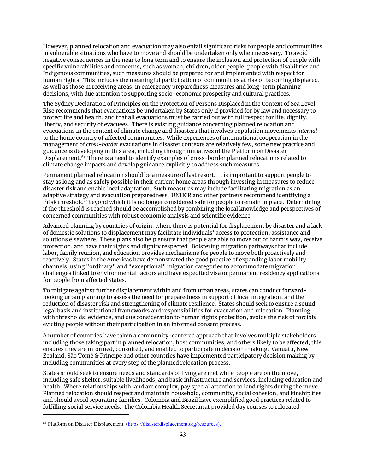However, planned relocation and evacuation may also entail significant risks for people and communities in vulnerable situations who have to move and should be undertaken only when necessary. To avoid negative consequences in the near to long term and to ensure the inclusion and protection of people with specific vulnerabilities and concerns, such as women, children, older people, people with disabilities and Indigenous communities, such measures should be prepared for and implemented with respect for human rights. This includes the meaningful participation of communities at risk of becoming displaced, as well as those in receiving areas, in emergency preparedness measures and long-term planning decisions, with due attention to supporting socio-economic prosperity and cultural practices.

The Sydney Declaration of Principles on the Protection of Persons Displaced in the Context of Sea Level Rise recommends that evacuations be undertaken by States only if provided for by law and necessary to protect life and health, and that all evacuations must be carried out with full respect for life, dignity, liberty, and security of evacuees. There is existing guidance concerning planned relocation and evacuations in the context of climate change and disasters that involves population movements *internal* to the home country of affected communities. While experiences of international cooperation in the management of *cross-border* evacuations in disaster contexts are relatively few, some new practice and guidance is developing in this area, including through initiatives of the Platform on Disaster Displacement. [61](#page-22-0) There is a need to identify examples of cross-border planned relocations related to climate change impacts and develop guidance explicitly to address such measures.

Permanent planned relocation should be a measure of last resort. It is important to support people to stay as long and as safely possible in their current home areas through investing in measures to reduce disaster risk and enable local adaptation. Such measures may include facilitating migration as an adaptive strategy and evacuation preparedness. UNHCR and other partners recommend identifying a "risk threshold" beyond which it is no longer considered safe for people to remain in place. Determining if the threshold is reached should be accomplished by combining the local knowledge and perspectives of concerned communities with robust economic analysis and scientific evidence.

Advanced planning by countries of origin, where there is potential for displacement by disaster and a lack of domestic solutions to displacement may facilitate individuals' access to protection, assistance and solutions elsewhere. These plans also help ensure that people are able to move out of harm's way, receive protection, and have their rights and dignity respected. Bolstering migration pathways that include labor, family reunion, and education provides mechanisms for people to move both proactively and reactively. States in the Americas have demonstrated the good practice of expanding labor mobility channels, using "ordinary" and "exceptional" migration categories to accommodate migration challenges linked to environmental factors and have expedited visa or permanent residency applications for people from affected States.

To mitigate against further displacement within and from urban areas, states can conduct forwardlooking urban planning to assess the need for preparedness in support of local integration, and the reduction of disaster risk and strengthening of climate resilience. States should seek to ensure a sound legal basis and institutional frameworks and responsibilities for evacuation and relocation. Planning with thresholds, evidence, and due consideration to human rights protection, avoids the risk of forcibly evicting people without their participation in an informed consent process.

A number of countries have taken a community-centered approach that involves multiple stakeholders including those taking part in planned relocation, host communities, and others likely to be affected; this ensures they are informed, consulted, and enabled to participate in decision-making. Vanuatu, New Zealand, São Tomé & Príncipe and other countries have implemented participatory decision making by including communities at every step of the planned relocation process.

States should seek to ensure needs and standards of living are met while people are on the move, including safe shelter, suitable livelihoods, and basic infrastructure and services, including education and health. Where relationships with land are complex, pay special attention to land rights during the move. Planned relocation should respect and maintain household, community, social cohesion, and kinship ties and should avoid separating families. Colombia and Brazil have exemplified good practices related to fulfilling social service needs. The Colombia Health Secretariat provided day courses to relocated

<span id="page-22-0"></span><sup>61</sup> Platform on Disaster Displacement. [\(https://disasterdisplacement.org/resources\)](https://disasterdisplacement.org/resources).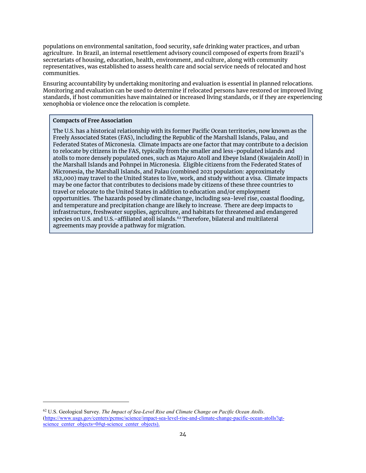populations on environmental sanitation, food security, safe drinking water practices, and urban agriculture. In Brazil, an internal resettlement advisory council composed of experts from Brazil's secretariats of housing, education, health, environment, and culture, along with community representatives, was established to assess health care and social service needs of relocated and host communities.

Ensuring accountability by undertaking monitoring and evaluation is essential in planned relocations. Monitoring and evaluation can be used to determine if relocated persons have restored or improved living standards, if host communities have maintained or increased living standards, or if they are experiencing xenophobia or violence once the relocation is complete.

#### **Compacts of Free Association**

 $\overline{a}$ 

<span id="page-23-0"></span>The U.S. has a historical relationship with its former Pacific Ocean territories, now known as the Freely Associated States (FAS), including the Republic of the Marshall Islands, Palau, and Federated States of Micronesia. Climate impacts are one factor that may contribute to a decision to relocate by citizens in the FAS, typically from the smaller and less-populated islands and atolls to more densely populated ones, such as Majuro Atoll and Ebeye Island (Kwajalein Atoll) in the Marshall Islands and Pohnpei in Micronesia. Eligible citizens from the Federated States of Micronesia, the Marshall Islands, and Palau (combined 2021 population: approximately 182,000) may travel to the United States to live, work, and study without a visa. Climate impacts may be one factor that contributes to decisions made by citizens of these three countries to travel or relocate to the United States in addition to education and/or employment opportunities. The hazards posed by climate change, including sea-level rise, coastal flooding, and temperature and precipitation change are likely to increase. There are deep impacts to infrastructure, freshwater supplies, agriculture, and habitats for threatened and endangered species on U.S. and U.S.-affiliated atoll islands.<sup>[62](#page-23-1)</sup> Therefore, bilateral and multilateral agreements may provide a pathway for migration.

<span id="page-23-1"></span><sup>62</sup> U.S. Geological Survey. *The Impact of Sea-Level Rise and Climate Change on Pacific Ocean Atolls*. [\(https://www.usgs.gov/centers/pcmsc/science/impact-sea-level-rise-and-climate-change-pacific-ocean-atolls?qt](https://www.usgs.gov/centers/pcmsc/science/impact-sea-level-rise-and-climate-change-pacific-ocean-atolls?qt-science_center_objects=0#qt-science_center_objects)science center objects=0#qt-science center objects).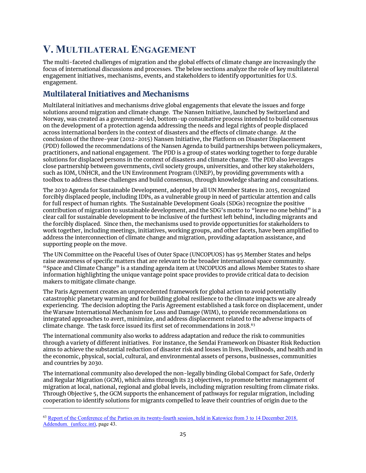# **V. MULTILATERAL ENGAGEMENT**

The multi-faceted challenges of migration and the global effects of climate change are increasingly the focus of international discussions and processes. The below sections analyze the role of key multilateral engagement initiatives, mechanisms, events, and stakeholders to identify opportunities for U.S. engagement.

# <span id="page-24-0"></span>Multilateral Initiatives and Mechanisms

Multilateral initiatives and mechanisms drive global engagements that elevate the issues and forge solutions around migration and climate change. The Nansen Initiative, launched by Switzerland and Norway, was created as a government-led, bottom-up consultative process intended to build consensus on the development of a protection agenda addressing the needs and legal rights of people displaced across international borders in the context of disasters and the effects of climate change. At the conclusion of the three-year (2012-2015) Nansen Initiative, the Platform on Disaster Displacement (PDD) followed the recommendations of the Nansen Agenda to build partnerships between policymakers, practitioners, and national engagement. The PDD is a group of states working together to forge durable solutions for displaced persons in the context of disasters and climate change. The PDD also leverages close partnership between governments, civil society groups, universities, and other key stakeholders, such as IOM, UNHCR, and the UN Environment Program (UNEP), by providing governments with a toolbox to address these challenges and build consensus, through knowledge sharing and consultations.

The 2030 Agenda for Sustainable Development, adopted by all UN Member States in 2015, recognized forcibly displaced people, including IDPs, as a vulnerable group in need of particular attention and calls for full respect of human rights. The Sustainable Development Goals (SDGs) recognize the positive contribution of migration to sustainable development, and the SDG's motto to "leave no one behind" is a clear call for sustainable development to be inclusive of the furthest left behind, including migrants and the forcibly displaced. Since then, the mechanisms used to provide opportunities for stakeholders to work together, including meetings, initiatives, working groups, and other facets, have been amplified to address the interconnection of climate change and migration, providing adaptation assistance, and supporting people on the move.

The UN Committee on the Peaceful Uses of Outer Space (UNCOPUOS) has 95 Member States and helps raise awareness of specific matters that are relevant to the broader international space community. "Space and Climate Change" is a standing agenda item at UNCOPUOS and allows Member States to share information highlighting the unique vantage point space provides to provide critical data to decision makers to mitigate climate change.

The Paris Agreement creates an unprecedented framework for global action to avoid potentially catastrophic planetary warming and for building global resilience to the climate impacts we are already experiencing. The decision adopting the Paris Agreement established a task force on displacement, under the Warsaw International Mechanism for Loss and Damage (WIM), to provide recommendations on integrated approaches to avert, minimize, and address displacement related to the adverse impacts of climate change. The task force issued its first set of recommendations in 2018.<sup>[63](#page-24-1)</sup>

The international community also works to address adaptation and reduce the risk to communities through a variety of different initiatives. For instance, the Sendai Framework on Disaster Risk Reduction aims to achieve the substantial reduction of disaster risk and losses in lives, livelihoods, and health and in the economic, physical, social, cultural, and environmental assets of persons, businesses, communities and countries by 2030.

The international community also developed the non-legally binding Global Compact for Safe, Orderly and Regular Migration (GCM), which aims through its 23 objectives, to promote better management of migration at local, national, regional and global levels, including migration resulting from climate risks. Through Objective 5, the GCM supports the enhancement of pathways for regular migration, including cooperation to identify solutions for migrants compelled to leave their countries of origin due to the

<span id="page-24-1"></span><sup>63</sup> [Report of the Conference of the Parties on its twenty-fourth session, held in Katowice from 3 to 14 December 2018.](https://unfccc.int/sites/default/files/resource/10a1.pdf)  [Addendum. \(unfccc.int\),](https://unfccc.int/sites/default/files/resource/10a1.pdf) page 43.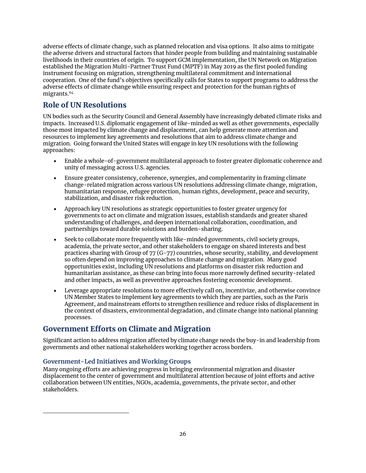adverse effects of climate change, such as planned relocation and visa options. It also aims to mitigate the adverse drivers and structural factors that hinder people from building and maintaining sustainable livelihoods in their countries of origin. To support GCM implementation, the UN Network on Migration established the Migration Multi-Partner Trust Fund (MPTF) in May 2019 as the first pooled funding instrument focusing on migration, strengthening multilateral commitment and international cooperation. One of the fund's objectives specifically calls for States to support programs to address the adverse effects of climate change while ensuring respect and protection for the human rights of migrants. [64](#page-25-3)

# <span id="page-25-0"></span>Role of UN Resolutions

UN bodies such as the Security Council and General Assembly have increasingly debated climate risks and impacts. Increased U.S. diplomatic engagement of like-minded as well as other governments, especially those most impacted by climate change and displacement, can help generate more attention and resources to implement key agreements and resolutions that aim to address climate change and migration. Going forward the United States will engage in key UN resolutions with the following approaches:

- Enable a whole-of-government multilateral approach to foster greater diplomatic coherence and unity of messaging across U.S. agencies.
- Ensure greater consistency, coherence, synergies, and complementarity in framing climate change-related migration across various UN resolutions addressing climate change, migration, humanitarian response, refugee protection, human rights, development, peace and security, stabilization, and disaster risk reduction.
- Approach key UN resolutions as strategic opportunities to foster greater urgency for governments to act on climate and migration issues, establish standards and greater shared understanding of challenges, and deepen international collaboration, coordination, and partnerships toward durable solutions and burden-sharing.
- Seek to collaborate more frequently with like-minded governments, civil society groups, academia, the private sector, and other stakeholders to engage on shared interests and best practices sharing with Group of 77 (G-77) countries, whose security, stability, and development so often depend on improving approaches to climate change and migration. Many good opportunities exist, including UN resolutions and platforms on disaster risk reduction and humanitarian assistance, as these can bring into focus more narrowly defined security-related and other impacts, as well as preventive approaches fostering economic development.
- Leverage appropriate resolutions to more effectively call on, incentivize, and otherwise convince UN Member States to implement key agreements to which they are parties, such as the Paris Agreement, and mainstream efforts to strengthen resilience and reduce risks of displacement in the context of disasters, environmental degradation, and climate change into national planning processes.

### <span id="page-25-1"></span>Government Efforts on Climate and Migration

Significant action to address migration affected by climate change needs the buy-in and leadership from governments and other national stakeholders working together across borders.

#### <span id="page-25-2"></span>**Government-Led Initiatives and Working Groups**

<span id="page-25-3"></span> $\overline{a}$ 

Many ongoing efforts are achieving progress in bringing environmental migration and disaster displacement to the center of government and multilateral attention because of joint efforts and active collaboration between UN entities, NGOs, academia, governments, the private sector, and other stakeholders.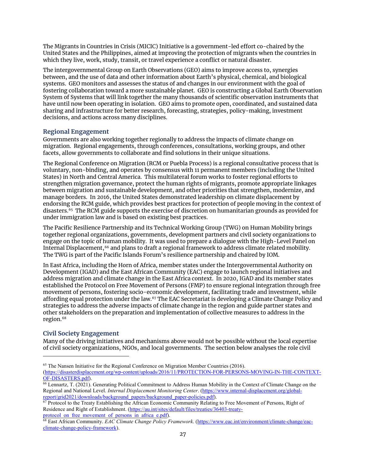The Migrants in Countries in Crisis (MICIC) Initiative is a government-led effort co-chaired by the United States and the Philippines, aimed at improving the protection of migrants when the countries in which they live, work, study, transit, or travel experience a conflict or natural disaster.

The intergovernmental Group on Earth Observations (GEO) aims to improve access to, synergies between, and the use of data and other information about Earth's physical, chemical, and biological systems. GEO monitors and assesses the status of and changes in our environment with the goal of fostering collaboration toward a more sustainable planet. GEO is constructing a Global Earth Observation System of Systems that will link together the many thousands of scientific observation instruments that have until now been operating in isolation. GEO aims to promote open, coordinated, and sustained data sharing and infrastructure for better research, forecasting, strategies, policy-making, investment decisions, and actions across many disciplines.

#### <span id="page-26-0"></span>**Regional Engagement**

Governments are also working together regionally to address the impacts of climate change on migration. Regional engagements, through conferences, consultations, working groups, and other facets, allow governments to collaborate and find solutions in their unique situations.

The Regional Conference on Migration (RCM or Puebla Process) is a regional consultative process that is voluntary, non-binding, and operates by consensus with 11 permanent members (including the United States) in North and Central America. This multilateral forum works to foster regional efforts to strengthen migration governance, protect the human rights of migrants, promote appropriate linkages between migration and sustainable development, and other priorities that strengthen, modernize, and manage borders. In 2016, the United States demonstrated leadership on climate displacement by endorsing the RCM guide, which provides best practices for protection of people moving in the context of disasters. [65](#page-26-2) The RCM guide supports the exercise of discretion on humanitarian grounds as provided for under immigration law and is based on existing best practices.

The Pacific Resilience Partnership and its Technical Working Group (TWG) on Human Mobility brings together regional organizations, governments, development partners and civil society organizations to engage on the topic of human mobility. It was used to prepare a dialogue with the High-Level Panel on Internal Displacement,<sup>[66](#page-26-3)</sup> and plans to draft a regional framework to address climate related mobility. The TWG is part of the Pacific Islands Forum's resilience partnership and chaired by IOM.

In East Africa, including the Horn of Africa, member states under the Intergovernmental Authority on Development (IGAD) and the East African Community (EAC) engage to launch regional initiatives and address migration and climate change in the East Africa context. In 2020, IGAD and its member states established the Protocol on Free Movement of Persons (FMP) to ensure regional integration through free movement of persons, fostering socio-economic development, facilitating trade and investment, while affording equal protection under the law. [67](#page-26-4) The EAC Secretariat is developing a Climate Change Policy and strategies to address the adverse impacts of climate change in the region and guide partner states and other stakeholders on the preparation and implementation of collective measures to address in the region.<sup>[68](#page-26-5)</sup>

#### <span id="page-26-1"></span>**Civil Society Engagement**

 $\overline{a}$ 

Many of the driving initiatives and mechanisms above would not be possible without the local expertise of civil society organizations, NGOs, and local governments. The section below analyses the role civil

<span id="page-26-2"></span><sup>&</sup>lt;sup>65</sup> The Nansen Initiative for the Regional Conference on Migration Member Countries (2016). [\(https://disasterdisplacement.org/wp-content/uploads/2016/11/PROTECTION-FOR-PERSONS-MOVING-IN-THE-CONTEXT-](https://disasterdisplacement.org/wp-content/uploads/2016/11/PROTECTION-FOR-PERSONS-MOVING-IN-THE-CONTEXT-OF-DISASTERS.pdf)[OF-DISASTERS.pdf\)](https://disasterdisplacement.org/wp-content/uploads/2016/11/PROTECTION-FOR-PERSONS-MOVING-IN-THE-CONTEXT-OF-DISASTERS.pdf).

<span id="page-26-3"></span> $\overline{66}$  Lennartz, T. (2021). Generating Political Commitment to Address Human Mobility in the Context of Climate Change on the Regional and National Level. *Internal Displacement Monitoring Center*. [\(https://www.internal-displacement.org/global](https://www.internal-displacement.org/global-report/grid2021/downloads/background_papers/background_paper-policies.pdf)[report/grid2021/downloads/background\\_papers/background\\_paper-policies.pdf\)](https://www.internal-displacement.org/global-report/grid2021/downloads/background_papers/background_paper-policies.pdf).

<span id="page-26-4"></span><sup>&</sup>lt;sup>67</sup> Protocol to the Treaty Establishing the African Economic Community Relating to Free Movement of Persons, Right of Residence and Right of Establishment. (https://au.int/sites/default/files/treaties/36403-treaty-<br>protocol\_on\_free\_movement\_of\_persons\_in\_africa\_e.pdf).

<span id="page-26-5"></span><sup>&</sup>lt;sup>68</sup> East African Community. *EAC Climate Change Policy Framework*. [\(https://www.eac.int/environment/climate-change/eac](https://www.eac.int/environment/climate-change/eac-climate-change-policy-framework)[climate-change-policy-framework\)](https://www.eac.int/environment/climate-change/eac-climate-change-policy-framework).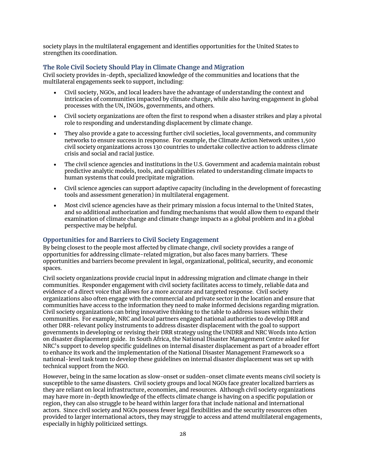society plays in the multilateral engagement and identifies opportunities for the United States to strengthen its coordination.

#### <span id="page-27-0"></span>**The Role Civil Society Should Play in Climate Change and Migration**

Civil society provides in-depth, specialized knowledge of the communities and locations that the multilateral engagements seek to support, including:

- Civil society, NGOs, and local leaders have the advantage of understanding the context and intricacies of communities impacted by climate change, while also having engagement in global processes with the UN, INGOs, governments, and others.
- Civil society organizations are often the first to respond when a disaster strikes and play a pivotal role to responding and understanding displacement by climate change.
- They also provide a gate to accessing further civil societies, local governments, and community networks to ensure success in response. For example, the Climate Action Network unites 1,500 civil society organizations across 130 countries to undertake collective action to address climate crisis and social and racial justice.
- The civil science agencies and institutions in the U.S. Government and academia maintain robust predictive analytic models, tools, and capabilities related to understanding climate impacts to human systems that could precipitate migration.
- Civil science agencies can support adaptive capacity (including in the development of forecasting tools and assessment generation) in multilateral engagement.
- Most civil science agencies have as their primary mission a focus internal to the United States, and so additional authorization and funding mechanisms that would allow them to expand their examination of climate change and climate change impacts as a global problem and in a global perspective may be helpful.

#### <span id="page-27-1"></span>**Opportunities for and Barriers to Civil Society Engagement**

By being closest to the people most affected by climate change, civil society provides a range of opportunities for addressing climate-related migration, but also faces many barriers. These opportunities and barriers become prevalent in legal, organizational, political, security, and economic spaces.

Civil society organizations provide crucial input in addressing migration and climate change in their communities. Responder engagement with civil society facilitates access to timely, reliable data and evidence of a direct voice that allows for a more accurate and targeted response. Civil society organizations also often engage with the commercial and private sector in the location and ensure that communities have access to the information they need to make informed decisions regarding migration. Civil society organizations can bring innovative thinking to the table to address issues within their communities. For example, NRC and local partners engaged national authorities to develop DRR and other DRR-relevant policy instruments to address disaster displacement with the goal to support governments in developing or revising their DRR strategy using the UNDRR and NRC Words into Action on disaster displacement guide. In South Africa, the National Disaster Management Centre asked for NRC's support to develop specific guidelines on internal disaster displacement as part of a broader effort to enhance its work and the implementation of the National Disaster Management Framework so a national-level task team to develop these guidelines on internal disaster displacement was set up with technical support from the NGO.

However, being in the same location as slow-onset or sudden-onset climate events means civil society is susceptible to the same disasters. Civil society groups and local NGOs face greater localized barriers as they are reliant on local infrastructure, economies, and resources. Although civil society organizations may have more in-depth knowledge of the effects climate change is having on a specific population or region, they can also struggle to be heard within larger fora that include national and international actors. Since civil society and NGOs possess fewer legal flexibilities and the security resources often provided to larger international actors, they may struggle to access and attend multilateral engagements, especially in highly politicized settings.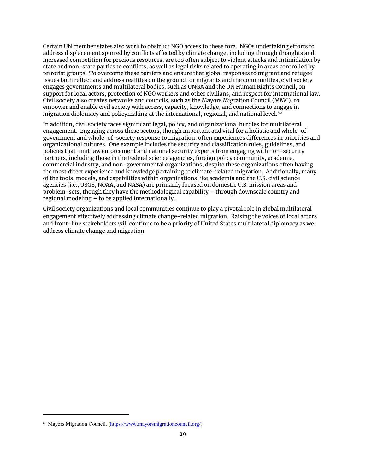Certain UN member states also work to obstruct NGO access to these fora. NGOs undertaking efforts to address displacement spurred by conflicts affected by climate change, including through droughts and increased competition for precious resources, are too often subject to violent attacks and intimidation by state and non-state parties to conflicts, as well as legal risks related to operating in areas controlled by terrorist groups. To overcome these barriers and ensure that global responses to migrant and refugee issues both reflect and address realities on the ground for migrants and the communities, civil society engages governments and multilateral bodies, such as UNGA and the UN Human Rights Council, on support for local actors, protection of NGO workers and other civilians, and respect for international law. Civil society also creates networks and councils, such as the Mayors Migration Council (MMC), to empower and enable civil society with access, capacity, knowledge, and connections to engage in migration diplomacy and policymaking at the international, regional, and national level. [69](#page-28-1)

In addition, civil society faces significant legal, policy, and organizational hurdles for multilateral engagement. Engaging across these sectors, though important and vital for a holistic and whole-ofgovernment and whole-of-society response to migration, often experiences differences in priorities and organizational cultures. One example includes the security and classification rules, guidelines, and policies that limit law enforcement and national security experts from engaging with non-security partners, including those in the Federal science agencies, foreign policy community, academia, commercial industry, and non-governmental organizations, despite these organizations often having the most direct experience and knowledge pertaining to climate-related migration. Additionally, many of the tools, models, and capabilities within organizations like academia and the U.S. civil science agencies (i.e., USGS, NOAA, and NASA) are primarily focused on domestic U.S. mission areas and problem-sets, though they have the methodological capability – through downscale country and regional modeling – to be applied internationally.

<span id="page-28-0"></span>Civil society organizations and local communities continue to play a pivotal role in global multilateral engagement effectively addressing climate change-related migration. Raising the voices of local actors and front-line stakeholders will continue to be a priority of United States multilateral diplomacy as we address climate change and migration.

<span id="page-28-1"></span><sup>69</sup> Mayors Migration Council. [\(https://www.mayorsmigrationcouncil.org/\)](https://www.mayorsmigrationcouncil.org/)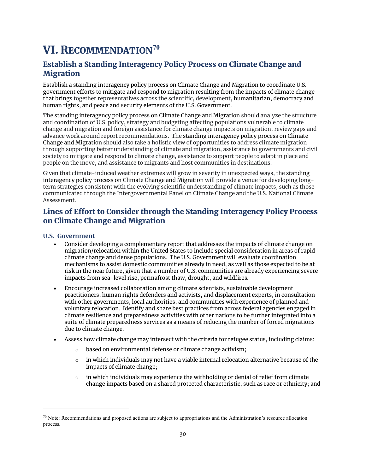# VI. RECOMMENDATION**[70](#page-29-3)**

## <span id="page-29-0"></span>Establish a Standing Interagency Policy Process on Climate Change and **Migration**

Establish a standing interagency policy process on Climate Change and Migration to coordinate U.S. government efforts to mitigate and respond to migration resulting from the impacts of climate change that brings together representatives across the scientific, development, humanitarian, democracy and human rights, and peace and security elements of the U.S. Government.

The standing interagency policy process on Climate Change and Migration should analyze the structure and coordination of U.S. policy, strategy and budgeting affecting populations vulnerable to climate change and migration and foreign assistance for climate change impacts on migration, review gaps and advance work around report recommendations. The standing interagency policy process on Climate Change and Migration should also take a holistic view of opportunities to address climate migration through supporting better understanding of climate and migration, assistance to governments and civil society to mitigate and respond to climate change, assistance to support people to adapt in place and people on the move, and assistance to migrants and host communities in destinations.

Given that climate-induced weather extremes will grow in severity in unexpected ways, the standing interagency policy process on Climate Change and Migration will provide a venue for developing longterm strategies consistent with the evolving scientific understanding of climate impacts, such as those communicated through the Intergovernmental Panel on Climate Change and the U.S. National Climate Assessment.

## <span id="page-29-1"></span>Lines of Effort to Consider through the Standing Interagency Policy Process on Climate Change and Migration

#### <span id="page-29-2"></span>**U.S. Government**

- Consider developing a complementary report that addresses the impacts of climate change on migration/relocation within the United States to include special consideration in areas of rapid climate change and dense populations. The U.S. Government will evaluate coordination mechanisms to assist domestic communities already in need, as well as those expected to be at risk in the near future, given that a number of U.S. communities are already experiencing severe impacts from sea-level rise, permafrost thaw, drought, and wildfires.
- Encourage increased collaboration among climate scientists, sustainable development practitioners, human rights defenders and activists, and displacement experts, in consultation with other governments, local authorities, and communities with experience of planned and voluntary relocation. Identify and share best practices from across federal agencies engaged in climate resilience and preparedness activities with other nations to be further integrated into a suite of climate preparedness services as a means of reducing the number of forced migrations due to climate change.
- Assess how climate change may intersect with the criteria for refugee status, including claims:
	- o based on environmental defense or climate change activism;
	- $\circ$  in which individuals may not have a viable internal relocation alternative because of the impacts of climate change;
	- $\circ$  in which individuals may experience the withholding or denial of relief from climate change impacts based on a shared protected characteristic, such as race or ethnicity; and

<span id="page-29-3"></span> $70$  Note: Recommendations and proposed actions are subject to appropriations and the Administration's resource allocation process.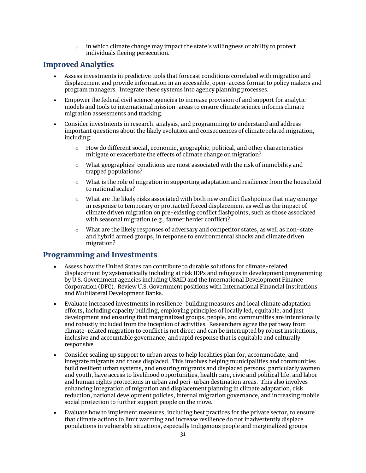$\circ$  in which climate change may impact the state's willingness or ability to protect individuals fleeing persecution.

### <span id="page-30-0"></span>Improved Analytics

- Assess investments in predictive tools that forecast conditions correlated with migration and displacement and provide information in an accessible, open-access format to policy makers and program managers. Integrate these systems into agency planning processes.
- Empower the federal civil science agencies to increase provision of and support for analytic models and tools to international mission-areas to ensure climate science informs climate migration assessments and tracking.
- Consider investments in research, analysis, and programming to understand and address important questions about the likely evolution and consequences of climate related migration, including:
	- o How do different social, economic, geographic, political, and other characteristics mitigate or exacerbate the effects of climate change on migration?
	- $\circ$  What geographies' conditions are most associated with the risk of immobility and trapped populations?
	- $\circ$  What is the role of migration in supporting adaptation and resilience from the household to national scales?
	- $\circ$  What are the likely risks associated with both new conflict flashpoints that may emerge in response to temporary or protracted forced displacement as well as the impact of climate driven migration on pre-existing conflict flashpoints, such as those associated with seasonal migration (e.g., farmer herder conflict)?
	- $\circ$  What are the likely responses of adversary and competitor states, as well as non-state and hybrid armed groups, in response to environmental shocks and climate driven migration?

#### <span id="page-30-1"></span>Programming and Investments

- Assess how the United States can contribute to durable solutions for climate-related displacement by systematically including at risk IDPs and refugees in development programming by U.S. Government agencies including USAID and the International Development Finance Corporation (DFC). Review U.S. Government positions with International Financial Institutions and Multilateral Development Banks.
- Evaluate increased investments in resilience-building measures and local climate adaptation efforts, including capacity building, employing principles of locally led, equitable, and just development and ensuring that marginalized groups, people, and communities are intentionally and robustly included from the inception of activities. Researchers agree the pathway from climate-related migration to conflict is not direct and can be interrupted by robust institutions, inclusive and accountable governance, and rapid response that is equitable and culturally responsive.
- Consider scaling up support to urban areas to help localities plan for, accommodate, and integrate migrants and those displaced. This involves helping municipalities and communities build resilient urban systems, and ensuring migrants and displaced persons, particularly women and youth, have access to livelihood opportunities, health care, civic and political life, and labor and human rights protections in urban and peri-urban destination areas. This also involves enhancing integration of migration and displacement planning in climate adaptation, risk reduction, national development policies, internal migration governance, and increasing mobile social protection to further support people on the move.
- Evaluate how to implement measures, including best practices for the private sector, to ensure that climate actions to limit warming and increase resilience do not inadvertently displace populations in vulnerable situations, especially Indigenous people and marginalized groups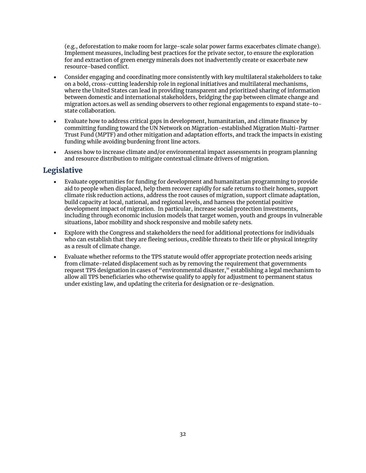(e.g., deforestation to make room for large-scale solar power farms exacerbates climate change). Implement measures, including best practices for the private sector, to ensure the exploration for and extraction of green energy minerals does not inadvertently create or exacerbate new resource-based conflict.

- Consider engaging and coordinating more consistently with key multilateral stakeholders to take on a bold, cross-cutting leadership role in regional initiatives and multilateral mechanisms, where the United States can lead in providing transparent and prioritized sharing of information between domestic and international stakeholders, bridging the gap between climate change and migration actors.as well as sending observers to other regional engagements to expand state-tostate collaboration.
- Evaluate how to address critical gaps in development, humanitarian, and climate finance by committing funding toward the UN Network on Migration-established Migration Multi-Partner Trust Fund (MPTF) and other mitigation and adaptation efforts, and track the impacts in existing funding while avoiding burdening front line actors.
- Assess how to increase climate and/or environmental impact assessments in program planning and resource distribution to mitigate contextual climate drivers of migration.

# <span id="page-31-0"></span>Legislative

- Evaluate opportunities for funding for development and humanitarian programming to provide aid to people when displaced, help them recover rapidly for safe returns to their homes, support climate risk reduction actions, address the root causes of migration, support climate adaptation, build capacity at local, national, and regional levels, and harness the potential positive development impact of migration. In particular, increase social protection investments, including through economic inclusion models that target women, youth and groups in vulnerable situations, labor mobility and shock responsive and mobile safety nets.
- Explore with the Congress and stakeholders the need for additional protections for individuals who can establish that they are fleeing serious, credible threats to their life or physical integrity as a result of climate change.
- <span id="page-31-1"></span>• Evaluate whether reforms to the TPS statute would offer appropriate protection needs arising from climate-related displacement such as by removing the requirement that governments request TPS designation in cases of "environmental disaster," establishing a legal mechanism to allow all TPS beneficiaries who otherwise qualify to apply for adjustment to permanent status under existing law, and updating the criteria for designation or re-designation.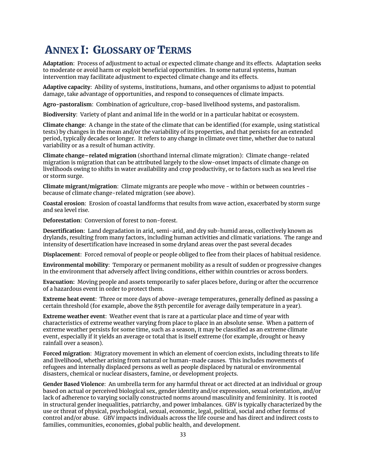# ANNEX I: GLOSSARY OF TERMS

**Adaptation**: Process of adjustment to actual or expected climate change and its effects. Adaptation seeks to moderate or avoid harm or exploit beneficial opportunities. In some natural systems, human intervention may facilitate adjustment to expected climate change and its effects.

**Adaptive capacity**: Ability of systems, institutions, humans, and other organisms to adjust to potential damage, take advantage of opportunities, and respond to consequences of climate impacts.

**Agro-pastoralism**: Combination of agriculture, crop-based livelihood systems, and pastoralism.

**Biodiversity**: Variety of plant and animal life in the world or in a particular habitat or ecosystem.

**Climate change**: A change in the state of the climate that can be identified (for example, using statistical tests) by changes in the mean and/or the variability of its properties, and that persists for an extended period, typically decades or longer. It refers to any change in climate over time, whether due to natural variability or as a result of human activity.

**Climate change–related migration** (shorthand internal climate migration): Climate change-related migration is migration that can be attributed largely to the slow-onset impacts of climate change on livelihoods owing to shifts in water availability and crop productivity, or to factors such as sea level rise or storm surge.

**Climate migrant/migration**: Climate migrants are people who move - within or between countries because of climate change-related migration (see above).

**Coastal erosion**: Erosion of coastal landforms that results from wave action, exacerbated by storm surge and sea level rise.

**Deforestation**: Conversion of forest to non-forest.

**Desertification**: Land degradation in arid, semi-arid, and dry sub-humid areas, collectively known as drylands, resulting from many factors, including human activities and climatic variations. The range and intensity of desertification have increased in some dryland areas over the past several decades

**Displacement**: Forced removal of people or people obliged to flee from their places of habitual residence.

**Environmental mobility**: Temporary or permanent mobility as a result of sudden or progressive changes in the environment that adversely affect living conditions, either within countries or across borders.

**Evacuation:** Moving people and assets temporarily to safer places before, during or after the occurrence of a hazardous event in order to protect them.

**Extreme heat event**: Three or more days of above-average temperatures, generally defined as passing a certain threshold (for example, above the 85th percentile for average daily temperature in a year).

**Extreme weather event**: Weather event that is rare at a particular place and time of year with characteristics of extreme weather varying from place to place in an absolute sense. When a pattern of extreme weather persists for some time, such as a season, it may be classified as an extreme climate event, especially if it yields an average or total that is itself extreme (for example, drought or heavy rainfall over a season).

**Forced migration**: Migratory movement in which an element of coercion exists, including threats to life and livelihood, whether arising from natural or human-made causes. This includes movements of refugees and internally displaced persons as well as people displaced by natural or environmental disasters, chemical or nuclear disasters, famine, or development projects.

**Gender Based Violence**: An umbrella term for any harmful threat or act directed at an individual or group based on actual or perceived biological sex, gender identity and/or expression, sexual orientation, and/or lack of adherence to varying socially constructed norms around masculinity and femininity. It is rooted in structural gender inequalities, patriarchy, and power imbalances. GBV is typically characterized by the use or threat of physical, psychological, sexual, economic, legal, political, social and other forms of control and/or abuse. GBV impacts individuals across the life course and has direct and indirect costs to families, communities, economies, global public health, and development.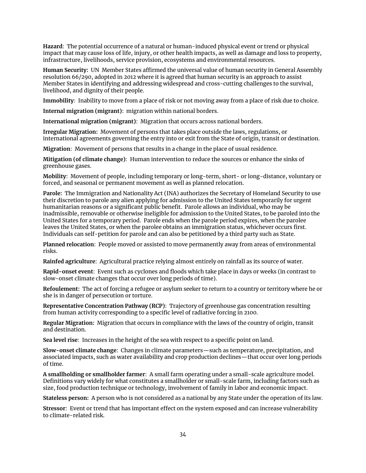**Hazard**: The potential occurrence of a natural or human-induced physical event or trend or physical impact that may cause loss of life, injury, or other health impacts, as well as damage and loss to property, infrastructure, livelihoods, service provision, ecosystems and environmental resources.

**Human Security:** UN Member States affirmed the universal value of human security in General Assembly resolution 66/290, adopted in 2012 where it is agreed that human security is an approach to assist Member States in identifying and addressing widespread and cross-cutting challenges to the survival, livelihood, and dignity of their people.

**Immobility**: Inability to move from a place of risk or not moving away from a place of risk due to choice.

**Internal migration (migrant)**: migration within national borders.

**International migration (migrant)**: Migration that occurs across national borders.

**Irregular Migration:** Movement of persons that takes place outside the laws, regulations, or international agreements governing the entry into or exit from the State of origin, transit or destination.

**Migration**: Movement of persons that results in a change in the place of usual residence.

**Mitigation (of climate change)**: Human intervention to reduce the sources or enhance the sinks of greenhouse gases.

**Mobility**: Movement of people, including temporary or long-term, short- or long-distance, voluntary or forced, and seasonal or permanent movement as well as planned relocation.

**Parole:** The Immigration and Nationality Act (INA) authorizes the Secretary of Homeland Security to use their discretion to parole any alien applying for admission to the United States temporarily for urgent humanitarian reasons or a significant public benefit. Parole allows an individual, who may be inadmissible, removable or otherwise ineligible for admission to the United States, to be paroled into the United States for a temporary period. Parole ends when the parole period expires, when the parolee leaves the United States, or when the parolee obtains an immigration status, whichever occurs first. Individuals can self-petition for parole and can also be petitioned by a third party such as State.

**Planned relocation**: People moved or assisted to move permanently away from areas of environmental risks.

**Rainfed agriculture**: Agricultural practice relying almost entirely on rainfall as its source of water.

**Rapid-onset event**: Event such as cyclones and floods which take place in days or weeks (in contrast to slow-onset climate changes that occur over long periods of time).

**Refoulement:** The act of forcing a refugee or asylum seeker to return to a country or territory where he or she is in danger of persecution or torture.

**Representative Concentration Pathway (RCP)**: Trajectory of greenhouse gas concentration resulting from human activity corresponding to a specific level of radiative forcing in 2100.

**Regular Migration:** Migration that occurs in compliance with the laws of the country of origin, transit and destination.

**Sea level rise**: Increases in the height of the sea with respect to a specific point on land.

**Slow-onset climate change**: Changes in climate parameters—such as temperature, precipitation, and associated impacts, such as water availability and crop production declines—that occur over long periods of time.

**A smallholding or smallholder farmer**: A small farm operating under a small-scale agriculture model. Definitions vary widely for what constitutes a smallholder or small-scale farm, including factors such as size, food production technique or technology, involvement of family in labor and economic impact.

**Stateless person:** A person who is not considered as a national by any State under the operation of its law.

**Stressor**: Event or trend that has important effect on the system exposed and can increase vulnerability to climate-related risk.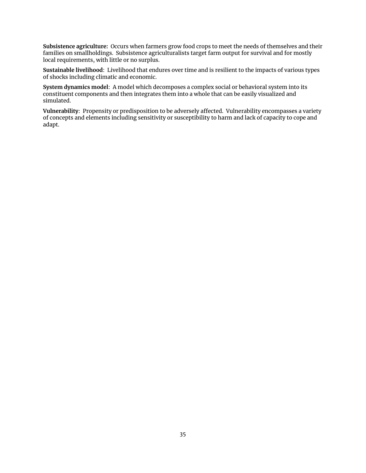**Subsistence agriculture:** Occurs when farmers grow food crops to meet the needs of themselves and their families on smallholdings. Subsistence agriculturalists target farm output for survival and for mostly local requirements, with little or no surplus.

**Sustainable livelihood**: Livelihood that endures over time and is resilient to the impacts of various types of shocks including climatic and economic.

**System dynamics model**: A model which decomposes a complex social or behavioral system into its constituent components and then integrates them into a whole that can be easily visualized and simulated.

<span id="page-34-0"></span>**Vulnerability**: Propensity or predisposition to be adversely affected. Vulnerability encompasses a variety of concepts and elements including sensitivity or susceptibility to harm and lack of capacity to cope and adapt.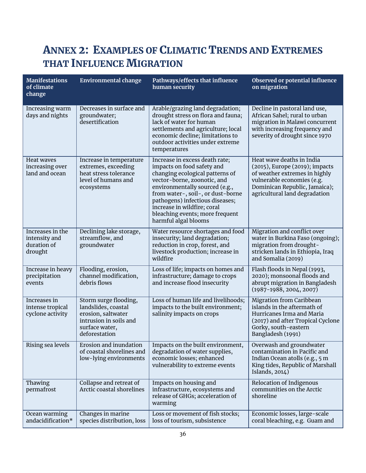# ANNEX 2: EXAMPLES OF CLIMATIC TRENDS AND EXTREMES THAT INFLUENCE MIGRATION

| <b>Manifestations</b><br>of climate<br>change               | <b>Environmental change</b>                                                                                                     | Pathways/effects that influence<br>human security                                                                                                                                                                                                                                                                                  | Observed or potential influence<br>on migration                                                                                                                                              |
|-------------------------------------------------------------|---------------------------------------------------------------------------------------------------------------------------------|------------------------------------------------------------------------------------------------------------------------------------------------------------------------------------------------------------------------------------------------------------------------------------------------------------------------------------|----------------------------------------------------------------------------------------------------------------------------------------------------------------------------------------------|
| Increasing warm<br>days and nights                          | Decreases in surface and<br>groundwater;<br>desertification                                                                     | Arable/grazing land degradation;<br>drought stress on flora and fauna;<br>lack of water for human<br>settlements and agriculture; local<br>economic decline; limitations to<br>outdoor activities under extreme<br>temperatures                                                                                                    | Decline in pastoral land use,<br>African Sahel; rural to urban<br>migration in Malawi concurrent<br>with increasing frequency and<br>severity of drought since 1970                          |
| Heat waves<br>increasing over<br>land and ocean             | Increase in temperature<br>extremes, exceeding<br>heat stress tolerance<br>level of humans and<br>ecosystems                    | Increase in excess death rate;<br>impacts on food safety and<br>changing ecological patterns of<br>vector-borne, zoonotic, and<br>environmentally sourced (e.g.,<br>from water-, soil-, or dust-borne<br>pathogens) infectious diseases;<br>increase in wildfire; coral<br>bleaching events; more frequent<br>harmful algal blooms | Heat wave deaths in India<br>(2015), Europe (2019); impacts<br>of weather extremes in highly<br>vulnerable economies (e.g.<br>Dominican Republic, Jamaica);<br>agricultural land degradation |
| Increases in the<br>intensity and<br>duration of<br>drought | Declining lake storage,<br>streamflow, and<br>groundwater                                                                       | Water resource shortages and food<br>insecurity; land degradation;<br>reduction in crop, forest, and<br>livestock production; increase in<br>wildfire                                                                                                                                                                              | Migration and conflict over<br>water in Burkina Faso (ongoing);<br>migration from drought-<br>stricken lands in Ethiopia, Iraq<br>and Somalia (2019)                                         |
| Increase in heavy<br>precipitation<br>events                | Flooding, erosion,<br>channel modification,<br>debris flows                                                                     | Loss of life; impacts on homes and<br>infrastructure; damage to crops<br>and increase flood insecurity                                                                                                                                                                                                                             | Flash floods in Nepal (1993,<br>2020); monsoonal floods and<br>abrupt migration in Bangladesh<br>$(1987 - 1988, 2004, 2007)$                                                                 |
| Increases in<br>intense tropical<br>cyclone activity        | Storm surge flooding,<br>landslides, coastal<br>erosion, saltwater<br>intrusion in soils and<br>surface water,<br>deforestation | Loss of human life and livelihoods;<br>impacts to the built environment;<br>salinity impacts on crops                                                                                                                                                                                                                              | <b>Migration from Caribbean</b><br>islands in the aftermath of<br>Hurricanes Irma and Maria<br>(2017) and after Tropical Cyclone<br>Gorky, south-eastern<br>Bangladesh (1991)                |
| Rising sea levels                                           | Erosion and inundation<br>of coastal shorelines and<br>low-lying environments                                                   | Impacts on the built environment,<br>degradation of water supplies,<br>economic losses; enhanced<br>vulnerability to extreme events                                                                                                                                                                                                | Overwash and groundwater<br>contamination in Pacific and<br>Indian Ocean atolls (e.g., 5 m<br>King tides, Republic of Marshall<br>Islands, $2014$ )                                          |
| Thawing<br>permafrost                                       | Collapse and retreat of<br>Arctic coastal shorelines                                                                            | Impacts on housing and<br>infrastructure, ecosystems and<br>release of GHGs; acceleration of<br>warming                                                                                                                                                                                                                            | Relocation of Indigenous<br>communities on the Arctic<br>shoreline                                                                                                                           |
| Ocean warming<br>andacidification*                          | Changes in marine<br>species distribution, loss                                                                                 | Loss or movement of fish stocks;<br>loss of tourism, subsistence                                                                                                                                                                                                                                                                   | Economic losses, large-scale<br>coral bleaching, e.g. Guam and                                                                                                                               |